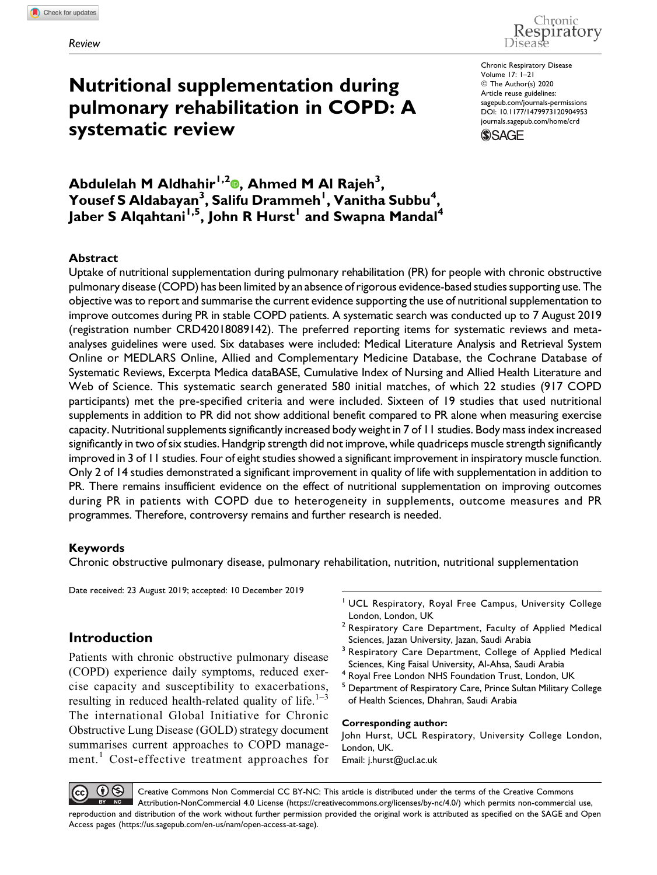

# Nutritional supplementation during pulmonary rehabilitation in COPD: A systematic review

Chronic Respiratory Disease Volume 17: 1–21 © The Author(s) 2020 Article reuse guidelines: [sagepub.com/journals-permissions](https://sagepub.com/journals-permissions) [DOI: 10.1177/1479973120904953](https://doi.org/10.1177/1479973120904953) [journals.sagepub.com/home/crd](http://journals.sagepub.com/home/crd)



Abdulelah M Aldhahir<sup>1,2</sup>®, Ahmed M Al Rajeh<sup>3</sup>, Yousef S Aldabayan<sup>3</sup>, Salifu Drammeh<sup>l</sup>, Vanitha Subbu<sup>4</sup>, Jaber S Alqahtani<sup>1,5</sup>, John R Hurst<sup>1</sup> and Swapna Mandal<sup>4</sup>

### **Abstract**

Uptake of nutritional supplementation during pulmonary rehabilitation (PR) for people with chronic obstructive pulmonary disease (COPD) has been limited by an absence of rigorous evidence-based studies supporting use. The objective was to report and summarise the current evidence supporting the use of nutritional supplementation to improve outcomes during PR in stable COPD patients. A systematic search was conducted up to 7 August 2019 (registration number CRD42018089142). The preferred reporting items for systematic reviews and metaanalyses guidelines were used. Six databases were included: Medical Literature Analysis and Retrieval System Online or MEDLARS Online, Allied and Complementary Medicine Database, the Cochrane Database of Systematic Reviews, Excerpta Medica dataBASE, Cumulative Index of Nursing and Allied Health Literature and Web of Science. This systematic search generated 580 initial matches, of which 22 studies (917 COPD participants) met the pre-specified criteria and were included. Sixteen of 19 studies that used nutritional supplements in addition to PR did not show additional benefit compared to PR alone when measuring exercise capacity. Nutritional supplements significantly increased body weight in 7 of 11 studies. Body mass index increased significantly in two of six studies. Handgrip strength did not improve, while quadriceps muscle strength significantly improved in 3 of 11 studies. Four of eight studies showed a significant improvement in inspiratory muscle function. Only 2 of 14 studies demonstrated a significant improvement in quality of life with supplementation in addition to PR. There remains insufficient evidence on the effect of nutritional supplementation on improving outcomes during PR in patients with COPD due to heterogeneity in supplements, outcome measures and PR programmes. Therefore, controversy remains and further research is needed.

## Keywords

Chronic obstructive pulmonary disease, pulmonary rehabilitation, nutrition, nutritional supplementation

Date received: 23 August 2019; accepted: 10 December 2019

# Introduction

Patients with chronic obstructive pulmonary disease (COPD) experience daily symptoms, reduced exercise capacity and susceptibility to exacerbations, resulting in reduced health-related quality of life. $1-3$ The international Global Initiative for Chronic Obstructive Lung Disease (GOLD) strategy document summarises current approaches to COPD management.<sup>1</sup> Cost-effective treatment approaches for

- UCL Respiratory, Royal Free Campus, University College London, London, UK
- <sup>2</sup> Respiratory Care Department, Faculty of Applied Medical Sciences, Jazan University, Jazan, Saudi Arabia
- <sup>3</sup> Respiratory Care Department, College of Applied Medical Sciences, King Faisal University, Al-Ahsa, Saudi Arabia
- <sup>4</sup> Royal Free London NHS Foundation Trust, London, UK
- <sup>5</sup> Department of Respiratory Care, Prince Sultan Military College of Health Sciences, Dhahran, Saudi Arabia

#### Corresponding author:

John Hurst, UCL Respiratory, University College London, London, UK.

Email: [j.hurst@ucl.ac.uk](mailto:j.hurst@ucl.ac.uk)

 $(i)$ (s) Creative Commons Non Commercial CC BY-NC: This article is distributed under the terms of the Creative Commons  $\overline{NC}$ Attribution-NonCommercial 4.0 License [\(https://creativecommons.org/licenses/by-nc/4.0/\)](https://creativecommons.org/licenses/by-nc/4.0/) which permits non-commercial use, reproduction and distribution of the work without further permission provided the original work is attributed as specified on the SAGE and Open Access pages [\(https://us.sagepub.com/en-us/nam/open-access-at-sage\)](https://us.sagepub.com/en-us/nam/open-access-at-sage).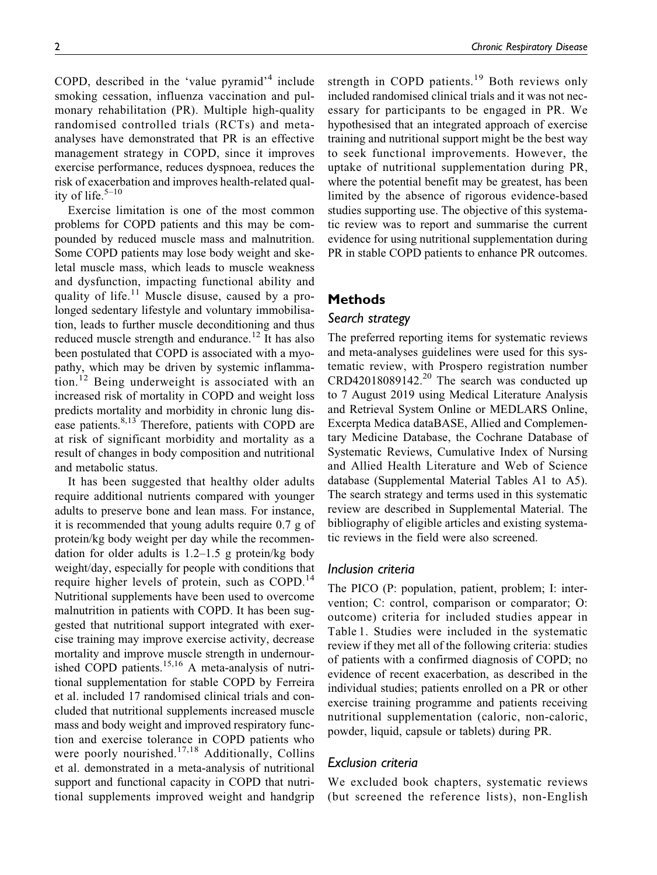COPD, described in the 'value pyramid'<sup>4</sup> include smoking cessation, influenza vaccination and pulmonary rehabilitation (PR). Multiple high-quality randomised controlled trials (RCTs) and metaanalyses have demonstrated that PR is an effective management strategy in COPD, since it improves exercise performance, reduces dyspnoea, reduces the risk of exacerbation and improves health-related quality of life. $5-10$ 

Exercise limitation is one of the most common problems for COPD patients and this may be compounded by reduced muscle mass and malnutrition. Some COPD patients may lose body weight and skeletal muscle mass, which leads to muscle weakness and dysfunction, impacting functional ability and quality of life.<sup>11</sup> Muscle disuse, caused by a prolonged sedentary lifestyle and voluntary immobilisation, leads to further muscle deconditioning and thus reduced muscle strength and endurance.<sup>12</sup> It has also been postulated that COPD is associated with a myopathy, which may be driven by systemic inflammation.<sup>12</sup> Being underweight is associated with an increased risk of mortality in COPD and weight loss predicts mortality and morbidity in chronic lung disease patients.<sup>8,13</sup> Therefore, patients with COPD are at risk of significant morbidity and mortality as a result of changes in body composition and nutritional and metabolic status.

It has been suggested that healthy older adults require additional nutrients compared with younger adults to preserve bone and lean mass. For instance, it is recommended that young adults require 0.7 g of protein/kg body weight per day while the recommendation for older adults is 1.2–1.5 g protein/kg body weight/day, especially for people with conditions that require higher levels of protein, such as COPD.<sup>14</sup> Nutritional supplements have been used to overcome malnutrition in patients with COPD. It has been suggested that nutritional support integrated with exercise training may improve exercise activity, decrease mortality and improve muscle strength in undernourished COPD patients.<sup>15,16</sup> A meta-analysis of nutritional supplementation for stable COPD by Ferreira et al. included 17 randomised clinical trials and concluded that nutritional supplements increased muscle mass and body weight and improved respiratory function and exercise tolerance in COPD patients who were poorly nourished.<sup>17,18</sup> Additionally, Collins et al. demonstrated in a meta-analysis of nutritional support and functional capacity in COPD that nutritional supplements improved weight and handgrip strength in COPD patients.<sup>19</sup> Both reviews only included randomised clinical trials and it was not necessary for participants to be engaged in PR. We hypothesised that an integrated approach of exercise training and nutritional support might be the best way to seek functional improvements. However, the uptake of nutritional supplementation during PR, where the potential benefit may be greatest, has been limited by the absence of rigorous evidence-based studies supporting use. The objective of this systematic review was to report and summarise the current evidence for using nutritional supplementation during PR in stable COPD patients to enhance PR outcomes.

# Methods

### Search strategy

The preferred reporting items for systematic reviews and meta-analyses guidelines were used for this systematic review, with Prospero registration number  $CRD42018089142<sup>20</sup>$  The search was conducted up to 7 August 2019 using Medical Literature Analysis and Retrieval System Online or MEDLARS Online, Excerpta Medica dataBASE, Allied and Complementary Medicine Database, the Cochrane Database of Systematic Reviews, Cumulative Index of Nursing and Allied Health Literature and Web of Science database (Supplemental Material Tables A1 to A5). The search strategy and terms used in this systematic review are described in Supplemental Material. The bibliography of eligible articles and existing systematic reviews in the field were also screened.

### Inclusion criteria

The PICO (P: population, patient, problem; I: intervention; C: control, comparison or comparator; O: outcome) criteria for included studies appear in Table 1. Studies were included in the systematic review if they met all of the following criteria: studies of patients with a confirmed diagnosis of COPD; no evidence of recent exacerbation, as described in the individual studies; patients enrolled on a PR or other exercise training programme and patients receiving nutritional supplementation (caloric, non-caloric, powder, liquid, capsule or tablets) during PR.

# Exclusion criteria

We excluded book chapters, systematic reviews (but screened the reference lists), non-English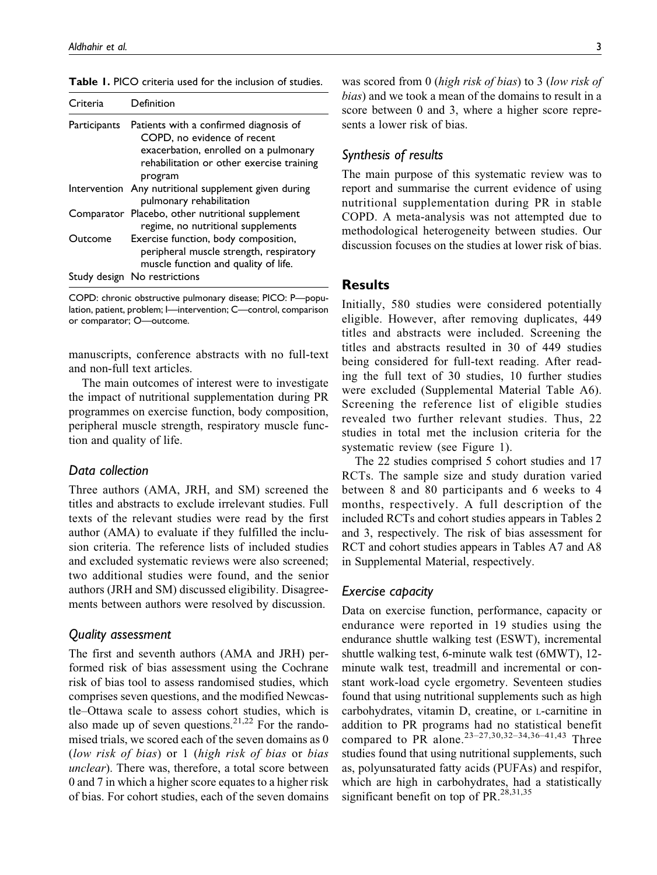| Criteria     | Definition                                                                                                                                                             |
|--------------|------------------------------------------------------------------------------------------------------------------------------------------------------------------------|
| Participants | Patients with a confirmed diagnosis of<br>COPD, no evidence of recent<br>exacerbation, enrolled on a pulmonary<br>rehabilitation or other exercise training<br>program |
|              | Intervention Any nutritional supplement given during<br>pulmonary rehabilitation                                                                                       |
|              | Comparator Placebo, other nutritional supplement<br>regime, no nutritional supplements                                                                                 |
| Outcome      | Exercise function, body composition,<br>peripheral muscle strength, respiratory<br>muscle function and quality of life.                                                |
|              | Study design No restrictions                                                                                                                                           |

Table 1. PICO criteria used for the inclusion of studies.

COPD: chronic obstructive pulmonary disease; PICO: P—population, patient, problem; I—intervention; C—control, comparison or comparator; O—outcome.

manuscripts, conference abstracts with no full-text and non-full text articles.

The main outcomes of interest were to investigate the impact of nutritional supplementation during PR programmes on exercise function, body composition, peripheral muscle strength, respiratory muscle function and quality of life.

### Data collection

Three authors (AMA, JRH, and SM) screened the titles and abstracts to exclude irrelevant studies. Full texts of the relevant studies were read by the first author (AMA) to evaluate if they fulfilled the inclusion criteria. The reference lists of included studies and excluded systematic reviews were also screened; two additional studies were found, and the senior authors (JRH and SM) discussed eligibility. Disagreements between authors were resolved by discussion.

### Quality assessment

The first and seventh authors (AMA and JRH) performed risk of bias assessment using the Cochrane risk of bias tool to assess randomised studies, which comprises seven questions, and the modified Newcastle–Ottawa scale to assess cohort studies, which is also made up of seven questions.<sup>21,22</sup> For the randomised trials, we scored each of the seven domains as 0 (low risk of bias) or 1 (high risk of bias or bias unclear). There was, therefore, a total score between 0 and 7 in which a higher score equates to a higher risk of bias. For cohort studies, each of the seven domains

was scored from 0 (high risk of bias) to 3 (low risk of bias) and we took a mean of the domains to result in a score between 0 and 3, where a higher score represents a lower risk of bias.

# Synthesis of results

The main purpose of this systematic review was to report and summarise the current evidence of using nutritional supplementation during PR in stable COPD. A meta-analysis was not attempted due to methodological heterogeneity between studies. Our discussion focuses on the studies at lower risk of bias.

# **Results**

Initially, 580 studies were considered potentially eligible. However, after removing duplicates, 449 titles and abstracts were included. Screening the titles and abstracts resulted in 30 of 449 studies being considered for full-text reading. After reading the full text of 30 studies, 10 further studies were excluded (Supplemental Material Table A6). Screening the reference list of eligible studies revealed two further relevant studies. Thus, 22 studies in total met the inclusion criteria for the systematic review (see Figure 1).

The 22 studies comprised 5 cohort studies and 17 RCTs. The sample size and study duration varied between 8 and 80 participants and 6 weeks to 4 months, respectively. A full description of the included RCTs and cohort studies appears in Tables 2 and 3, respectively. The risk of bias assessment for RCT and cohort studies appears in Tables A7 and A8 in Supplemental Material, respectively.

### Exercise capacity

Data on exercise function, performance, capacity or endurance were reported in 19 studies using the endurance shuttle walking test (ESWT), incremental shuttle walking test, 6-minute walk test (6MWT), 12 minute walk test, treadmill and incremental or constant work-load cycle ergometry. Seventeen studies found that using nutritional supplements such as high carbohydrates, vitamin D, creatine, or L-carnitine in addition to PR programs had no statistical benefit compared to PR alone.<sup>23-27,30,32-34,36-41,43</sup> Three studies found that using nutritional supplements, such as, polyunsaturated fatty acids (PUFAs) and respifor, which are high in carbohydrates, had a statistically significant benefit on top of PR. $^{28,31,35}$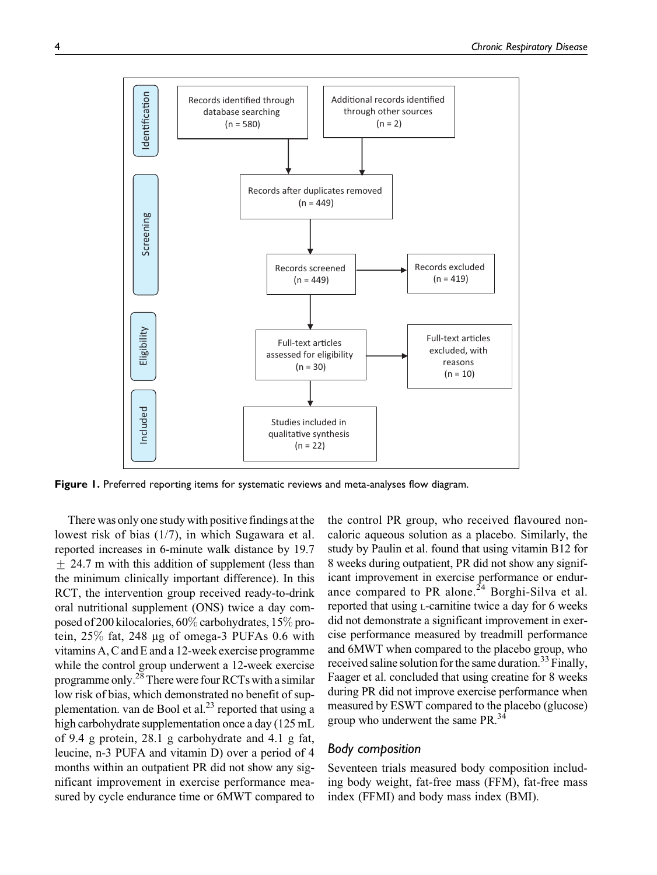

Figure 1. Preferred reporting items for systematic reviews and meta-analyses flow diagram.

There was only one study with positive findings at the lowest risk of bias (1/7), in which Sugawara et al. reported increases in 6-minute walk distance by 19.7  $\pm$  24.7 m with this addition of supplement (less than the minimum clinically important difference). In this RCT, the intervention group received ready-to-drink oral nutritional supplement (ONS) twice a day composed of 200 kilocalories, 60% carbohydrates, 15% protein,  $25\%$  fat, 248 µg of omega-3 PUFAs 0.6 with vitamins A, C and E and a 12-week exercise programme while the control group underwent a 12-week exercise programme only.<sup>28</sup> There were four RCTs with a similar low risk of bias, which demonstrated no benefit of supplementation. van de Bool et al. $^{23}$  reported that using a high carbohydrate supplementation once a day (125 mL of 9.4 g protein, 28.1 g carbohydrate and 4.1 g fat, leucine, n-3 PUFA and vitamin D) over a period of 4 months within an outpatient PR did not show any significant improvement in exercise performance measured by cycle endurance time or 6MWT compared to the control PR group, who received flavoured noncaloric aqueous solution as a placebo. Similarly, the study by Paulin et al. found that using vitamin B12 for 8 weeks during outpatient, PR did not show any significant improvement in exercise performance or endurance compared to PR alone.<sup> $24$ </sup> Borghi-Silva et al. reported that using L-carnitine twice a day for 6 weeks did not demonstrate a significant improvement in exercise performance measured by treadmill performance and 6MWT when compared to the placebo group, who received saline solution for the same duration.<sup>33</sup> Finally, Faager et al. concluded that using creatine for 8 weeks during PR did not improve exercise performance when measured by ESWT compared to the placebo (glucose) group who underwent the same PR.<sup>34</sup>

### Body composition

Seventeen trials measured body composition including body weight, fat-free mass (FFM), fat-free mass index (FFMI) and body mass index (BMI).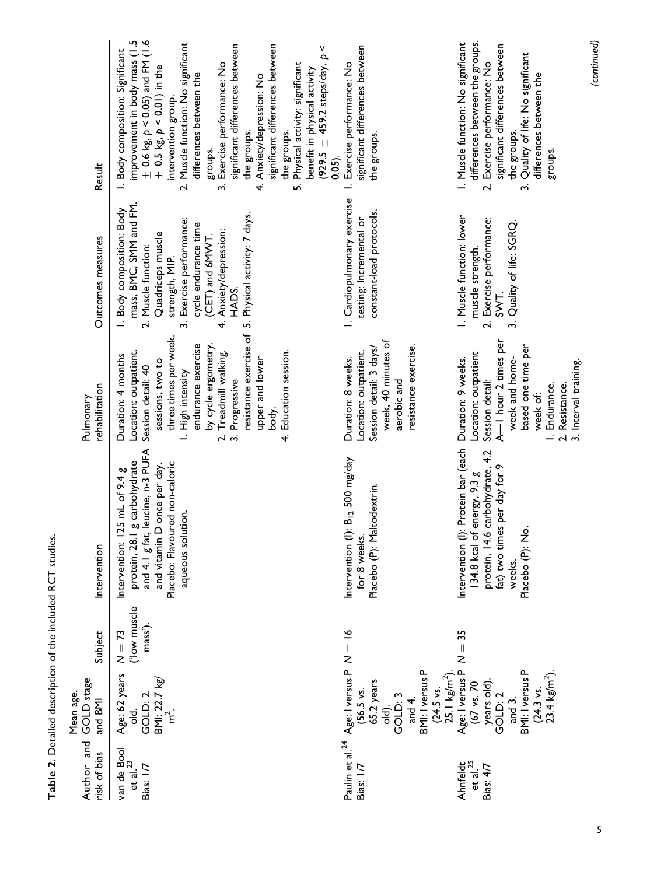| りく               |
|------------------|
|                  |
| $\frac{1}{2}$    |
| )<br>;           |
| 2.7127<br>;<br>; |
|                  |
|                  |

| risk of bias                                     | Mean age,<br>Author and GOLD stage<br>and BMI                                                                                                                                                     | Subject                            | Intervention                                                                                                                                                                                      | rehabilitation<br>Pulmonary                                                                                                                                                                                                                                                                                | Outcomes measures                                                                                                                                                                                                                                               | Result                                                                                                                                                                                                                                                                                                                                                                                                                                                                                                                                                    |
|--------------------------------------------------|---------------------------------------------------------------------------------------------------------------------------------------------------------------------------------------------------|------------------------------------|---------------------------------------------------------------------------------------------------------------------------------------------------------------------------------------------------|------------------------------------------------------------------------------------------------------------------------------------------------------------------------------------------------------------------------------------------------------------------------------------------------------------|-----------------------------------------------------------------------------------------------------------------------------------------------------------------------------------------------------------------------------------------------------------------|-----------------------------------------------------------------------------------------------------------------------------------------------------------------------------------------------------------------------------------------------------------------------------------------------------------------------------------------------------------------------------------------------------------------------------------------------------------------------------------------------------------------------------------------------------------|
| van de Bool<br>et al. <sup>23</sup><br>Bias: 1/7 | Age: 62 years<br>BMl: 22.7 kg/m <sup>2</sup> .<br>GOLD: 2.<br>흥                                                                                                                                   | "low muscle<br>mass').<br>$N = 73$ | leucine, n-3 PUFA<br>g carbohydrate<br>Placebo: Flavoured non-caloric<br>and vitamin D once per day.<br>5 mL of 9.4 g<br>aqueous solution.<br>Intervention: 12<br>and 4.1 g fat,<br>protein, 28.1 | resistance exercise of<br>three times per week.<br>endurance exercise<br>by cycle ergometry.<br>4. Education session.<br>Location: outpatient.<br>2. Treadmill walking.<br>Duration: 4 months<br>upper and lower<br>sessions, two to<br>Session detail: 40<br>I. High intensity<br>3. Progressive<br>body. | I. Body composition: Body<br>mass, BMC, SMM and FM.<br>5. Physical activity: 7 days.<br>3. Exercise performance:<br>cycle endurance time<br>Anxiety/depression:<br>Quadriceps muscle<br>(CET) and 6MWT.<br>2. Muscle function:<br>strength, MIP.<br>HADS.<br>4. | improvement in body mass (1.5<br>$\pm$ 0.6 kg, $p < 0.05$ ) and FM (1.6<br>2. Muscle function: No significant<br>significant differences between<br>significant differences between<br>v<br>. Body composition: Significant<br>(929.5 $\pm$ 459.2 steps/day, p<br>Exercise performance: No<br>Physical activity: significant<br>$\pm$ 0.5 kg, $p < 0.01$ ) in the<br>benefit in physical activity<br>differences between the<br>4. Anxiety/depression: No<br>intervention group.<br>the groups.<br>the groups.<br>groups.<br>$0.05$ ).<br><u>uni</u><br>m |
| Bias: 1/7                                        | Paulin et al. <sup>24</sup> Age: I versus P $N = 16$<br>BMI: I versus P<br>$25.1 \text{ kg/m}^2$ ).<br>65.2 years<br>$(24.5 \text{ vs.}$<br>$(56.5 \text{ vs.})$<br>old).<br>GOLD: 3<br>and $4$ . |                                    | $B_{12}$ 500 mg/day<br>Placebo (P): Maltodextrin.<br>Intervention (I):<br>for 8 weeks.                                                                                                            | week, 40 minutes of<br>resistance exercise.<br>Session detail: 3 days/<br>Location: outpatient.<br>Duration: 8 weeks.<br>aerobic and                                                                                                                                                                       | I. Cardiopulmonary exercise<br>constant-load protocols.<br>testing: Incremental or                                                                                                                                                                              | significant differences between<br>I. Exercise performance: No<br>the groups.                                                                                                                                                                                                                                                                                                                                                                                                                                                                             |
| et al. $^{25}$<br>Ahnfeldt<br>Bias: 4/7          | Age: I versus P $N = 35$<br>(67 vs. 70<br>BMI: I versus P<br>$23.4 \text{ kg/m}^2$ ).<br>years old).<br>$(24.3 \text{ vs.})$<br>GOLD: 2<br>and 3.                                                 |                                    | Intervention (I): Protein bar (each<br>protein, 14.6 carbohydrate, 4.2<br>fat) two times per day for 9<br>134.8 kcal of energy, 9.3 g<br>Placebo (P): No<br>weeks.                                | A-I hour 2 times per<br>based one time per<br>Location: outpatient<br>week and home-<br>Duration: 9 weeks.<br>3. Interval training.<br>Session detail:<br>I. Endurance.<br>2. Resistance.<br>week of:                                                                                                      | I. Muscle function: lower<br>2. Exercise performance:<br>3. Quality of life: SGRQ.<br>muscle strength.<br>SWT.                                                                                                                                                  | differences between the groups.<br>I. Muscle function: No significant<br>significant differences between<br>3. Quality of life: No significant<br>Exercise performance: No<br>differences between the<br>the groups.<br>groups.<br>$\overline{\mathbf{v}}$                                                                                                                                                                                                                                                                                                |
|                                                  |                                                                                                                                                                                                   |                                    |                                                                                                                                                                                                   |                                                                                                                                                                                                                                                                                                            |                                                                                                                                                                                                                                                                 | (continued)                                                                                                                                                                                                                                                                                                                                                                                                                                                                                                                                               |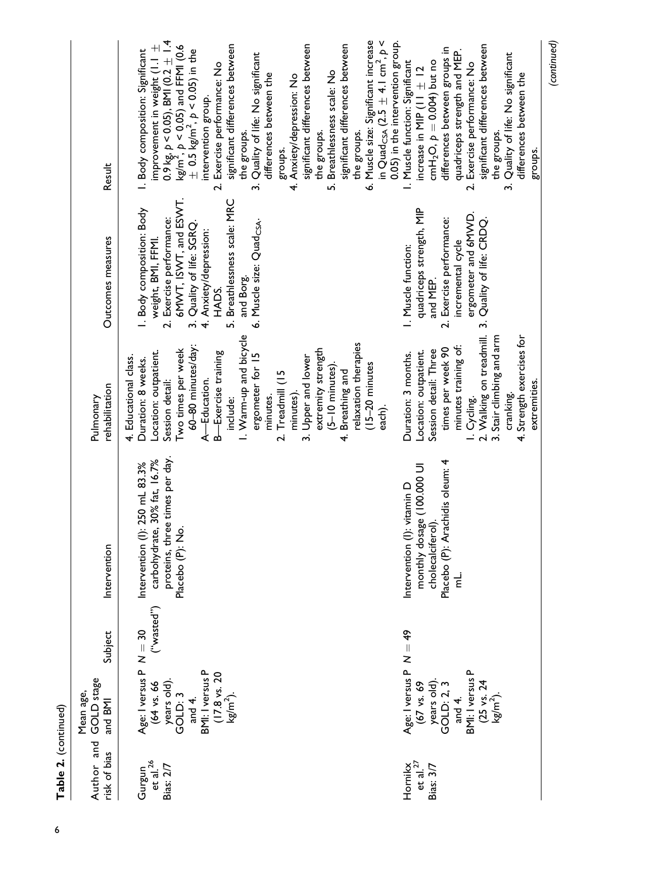| í<br>ì<br>j |
|-------------|
| r           |

| (continued)<br>significant differences between<br>significant differences between<br>significant differences between<br>differences between groups in<br>quadriceps strength and MEP.<br>3. Quality of life: No significant<br>cmH <sub>2</sub> O, $p = 0.004$ ) but no<br>Muscle function: Significant<br>Exercise performance: No<br>increase in MIP ( $11 \pm 12$<br>Breathlessness scale: No<br>differences between the<br>4. Anxiety/depression: No<br>the groups.<br>the groups.<br>the groups.<br>groups.<br>Ġ<br>$\overline{\mathbf{v}}$<br>ம்          | quadriceps strength, MIP<br>ergometer and 6MWD.<br>2. Exercise performance:<br>3. Quality of life: CRDQ.<br>incremental cycle<br>I. Muscle function:<br>and MEP.                                                                                                                  | 2. Walking on treadmill.<br>3. Stair climbing and arm<br>Stair climbing and arm<br>Strength exercises for<br>relaxation therapies<br>minutes training of:<br>times per week 90<br>extremity strength<br>Session detail: Three<br>Location: outpatient.<br>Duration: 3 months.<br>Upper and lower<br>$(15-20$ minutes<br>$(5-10 \text{ minutes})$<br>Breathing and<br>extremities.<br>cranking.<br>minutes).<br>I. Cycling.<br>each).<br>$\vec{r}$<br>$\ddot{ }$<br>4. | Placebo (P): Arachidis oleum: 4<br>DI<br>000:001)<br>98<br>sage<br>2<br>Linuce<br>2<br>1<br>1<br>1<br>1<br>0<br>0<br>0<br>0<br>0<br>0<br>0<br>0<br>0<br>0<br>0<br>0<br>0<br>0<br>0<br>0<br>0<br>0<br>0<br>0<br>Intervention (I): vitamin D<br>cholecalciferol).<br>넡 |            | Age: I versus P $N = 49$<br>years old).<br>GOLD: 2, 3<br>and 4.<br>BMI: I versus P<br>BMI: I versus P<br>(25 vs. 24<br>kg/m <sup>2</sup> ).<br>$(67$ vs. $69$ | et al. $^{27}$<br>Hornikx<br>Bias: 3/7        |
|-----------------------------------------------------------------------------------------------------------------------------------------------------------------------------------------------------------------------------------------------------------------------------------------------------------------------------------------------------------------------------------------------------------------------------------------------------------------------------------------------------------------------------------------------------------------|-----------------------------------------------------------------------------------------------------------------------------------------------------------------------------------------------------------------------------------------------------------------------------------|-----------------------------------------------------------------------------------------------------------------------------------------------------------------------------------------------------------------------------------------------------------------------------------------------------------------------------------------------------------------------------------------------------------------------------------------------------------------------|----------------------------------------------------------------------------------------------------------------------------------------------------------------------------------------------------------------------------------------------------------------------|------------|---------------------------------------------------------------------------------------------------------------------------------------------------------------|-----------------------------------------------|
| in Quad <sub>CSA</sub> (2.5 $\pm$ 4.1 cm <sup>2</sup> , $p$ <<br>improvement in weight (1.1 ±<br>0.9 kg, p < 0.05), BMI (0.2 ± 1.4<br>kg/m <sup>2</sup> , p < 0.05) and FFMI (0.6<br>Muscle size: Significant increase<br>0.05) in the intervention group.<br>significant differences between<br>$\pm$ 0.5 kg/m <sup>2</sup> , $p < 0.05$ ) in the<br>I. Body composition: Significant<br>3. Quality of life: No significant<br>Exercise performance: No<br>differences between the<br>intervention group.<br>the groups.<br>groups.<br>$\overline{\mathbf{v}}$ | 6MWT, ISWT, and ESWT.<br>5. Breathlessness scale: MRC<br>I. Body composition: Body<br>2. Exercise performance:<br>6. Muscle size: Quad <sub>CSA</sub> .<br>3. Quality of life: SGRQ.<br>Anxiety/depression:<br>weight, BMI, FFMI.<br>and Borg.<br>HADS.<br>$\frac{1}{\mathbf{A}}$ | I. Warm-up and bicycle<br>60-80 minutes/day:<br>Two times per week<br>Location: outpatient.<br>-Exercise training<br>ergometer for 15<br>4. Educational class.<br>Duration: 8 weeks.<br>Treadmill (15<br>A-Education.<br>Session detail:<br>minutes.<br>include:<br>$\overline{\mathbf{v}}$<br>ൎ                                                                                                                                                                      | proteins, three times per day.<br>carbohydrate, 30% fat, 16.7%<br>Intervention (I): 250 mL 83.3%<br>Placebo (P): No.                                                                                                                                                 | ("wasted") | Age: I versus P $N = 30$<br>BMI: I versus P<br>(17.8 vs. 20<br>kg/m <sup>2</sup> ).<br>years old).<br>GOLD: 3<br>and 4.<br>(64 vs. 66                         | $et$ al. <sup>26</sup><br>Bias: 2/7<br>Gurgun |
| Result                                                                                                                                                                                                                                                                                                                                                                                                                                                                                                                                                          | Outcomes measures                                                                                                                                                                                                                                                                 | rehabilitation<br>Pulmonary                                                                                                                                                                                                                                                                                                                                                                                                                                           | Intervention                                                                                                                                                                                                                                                         | Subject    | Author and GOLD stage<br>Mean age,<br>and BMI                                                                                                                 | risk of bias                                  |
|                                                                                                                                                                                                                                                                                                                                                                                                                                                                                                                                                                 |                                                                                                                                                                                                                                                                                   |                                                                                                                                                                                                                                                                                                                                                                                                                                                                       |                                                                                                                                                                                                                                                                      |            |                                                                                                                                                               |                                               |

6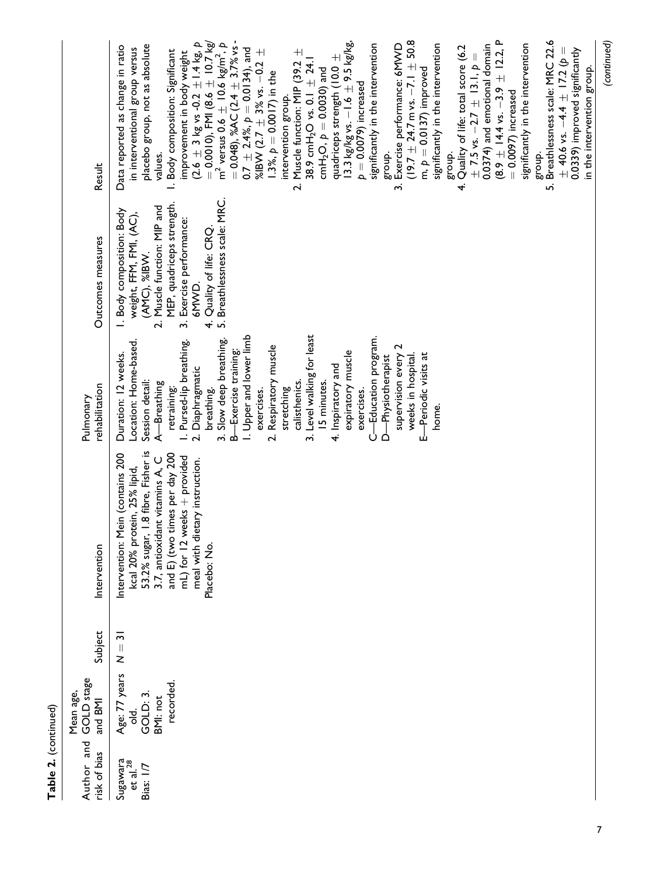Table 2. (continued) Table 2. (continued)

| Author and<br>risk of bias                    | GOLD stage<br>Mean age,<br>and BMI                                 | Subject                         | Intervention                                                                                                                                                                                                                                              | rehabilitation<br>Pulmonary                                                                                                                                                                                                                                                                                                                                                                                                                                                                                                                                                  | Outcomes measures                                                                                                                                                                                                                 | Result                                                                                                                                                                                                                                                                                                                                                                                                                                                                                                                                                                                                                                                                                                                                                                                                                                                                                                                                                                                                                                                                                                                                                                                                                                                                                                                                                                           |
|-----------------------------------------------|--------------------------------------------------------------------|---------------------------------|-----------------------------------------------------------------------------------------------------------------------------------------------------------------------------------------------------------------------------------------------------------|------------------------------------------------------------------------------------------------------------------------------------------------------------------------------------------------------------------------------------------------------------------------------------------------------------------------------------------------------------------------------------------------------------------------------------------------------------------------------------------------------------------------------------------------------------------------------|-----------------------------------------------------------------------------------------------------------------------------------------------------------------------------------------------------------------------------------|----------------------------------------------------------------------------------------------------------------------------------------------------------------------------------------------------------------------------------------------------------------------------------------------------------------------------------------------------------------------------------------------------------------------------------------------------------------------------------------------------------------------------------------------------------------------------------------------------------------------------------------------------------------------------------------------------------------------------------------------------------------------------------------------------------------------------------------------------------------------------------------------------------------------------------------------------------------------------------------------------------------------------------------------------------------------------------------------------------------------------------------------------------------------------------------------------------------------------------------------------------------------------------------------------------------------------------------------------------------------------------|
| Sugawara<br>et al. <sup>28</sup><br>Bias: 1/7 | Age: 77 years<br>recorded<br>GOLD: 3.<br>BMI: not<br>$\frac{d}{d}$ | $\overline{5}$<br>$\frac{1}{2}$ | 53.2% sugar, 1.8 fibre, Fisher is<br>and E) (two times per day 200<br>Intervention: Mein (contains 200<br>mL) for 12 weeks + provided<br>3.7, antioxidant vitamins A, C<br>meal with dietary instruction.<br>kcal 20% protein, 25% lipid,<br>Placebo: No. | Level walking for least<br>I. Upper and lower limb<br>Slow deep breathing.<br>-Education program.<br>Pursed-lip breathing.<br>Location: Home-based.<br>supervision every 2<br>Respiratory muscle<br>-Exercise training:<br>expiratory muscle<br>Duration: 12 weeks.<br>E-Periodic visits at<br>weeks in hospital<br>D-Physiotherapist<br>4. Inspiratory and<br>2. Diaphragmatic<br>calisthenics.<br>15 minutes.<br>Session detail:<br>A-Breathing<br>stretching<br>retraining:<br>breathing.<br>exercises.<br>exercises.<br>home.<br>ക്<br>Ń<br>$\dot{m}$<br>Ů<br>$\ddot{ }$ | 5. Breathlessness scale: MRC.<br>MEP, quadriceps strength.<br>2. Muscle function: MIP and<br>. Body composition: Body<br>weight, FFM, FMI, (AC),<br>3. Exercise performance:<br>4. Quality of life: CRQ.<br>(AMC), %IBW.<br>6MWD. | m <sup>2</sup> versus 0.6 $\pm$ 10.6 kg/m <sup>2</sup> , $\bar{p}$<br>= 0.048), %AC (2.4 $\pm$ 3.7% vs -<br>50.8<br>$= 0.0010$ ), FMI (8.6 $\pm 10.7$ kg/<br>$(8.9 \pm 14.4 \text{ vs. } -3.9 \pm 12.2, P$<br>5. Breathlessness scale: MRC 22.6<br>$13.3$ kg/kg vs. $-1.6 \pm 9.5$ kg/kg,<br>$(2.6 \pm 3$ kg vs -0.2 $\pm$ 1.4 kg, p<br>significantly in the intervention<br>significantly in the intervention<br>Exercise performance: 6MWD<br>0.0374) and emotional domain<br>significantly in the intervention<br>placebo group, not as absolute<br>Quality of life: total score (6.2<br>Data reported as change in ratio<br>in interventional group versus<br>$\pm$ 40.6 vs. $-4.4 \pm 17.2$ (p =<br>$0.7 \pm 2.4\%$ , $p = 0.0134$ ), and<br>0.0339) improved significantly<br>Body composition: Significant<br>%IBW (2.7 $\pm$ 3% vs. $-0.2$ $\pm$<br>Muscle function: MIP (39.2 $\pm$<br>improvement in body weight<br>$\pm$ 7.5 vs. -2.7 $\pm$ 13.1, $p =$<br>quadriceps strength (10.0 ±<br>38.9 cmH <sub>2</sub> O vs. 0.1 $\pm$ 24.1<br>$(19.7 \pm 24.7$ m vs. $-7.1 \pm$<br>in the intervention group.<br>m, $p = 0.0137$ ) improved<br>$cmH_2O, p = 0.0030)$ and<br>1.3%, $p = 0.0017$ ) in the<br>$p = 0.0079$ ) increased<br>$= 0.0097$ ) increased<br>intervention group.<br>group.<br>group.<br>group.<br>values.<br>4.<br>$\dot{m}$<br>$\overline{\mathbf{r}}$ |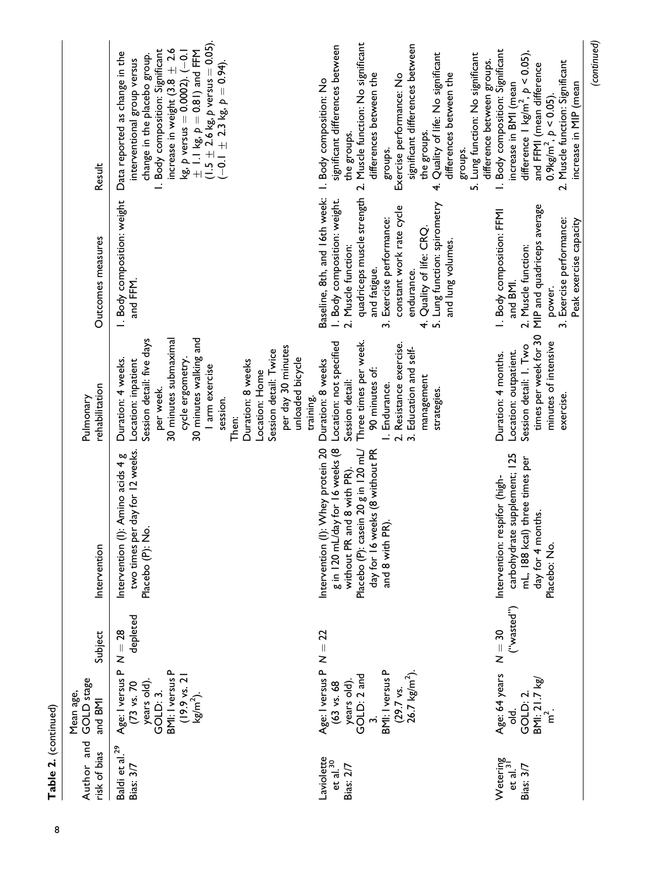|                                               | $\pm$ 1.1 kg, $p = 0.81$ ) and FFM<br>(1.5 $\pm$ 2.6 kg, p versus = 0.05).<br>(-0.1 $\pm$ 2.3 kg, $p = 0.94$ ).<br>increase in weight (3.8 $\pm$ 2.6<br>Body composition: Significant<br>kg, $p$ versus = 0.0002). (-0.1<br>Data reported as change in the<br>change in the placebo group.<br>interventional group versus | 2. Muscle function: No significant<br>significant differences between<br>significant differences between<br>4. Quality of life: No significant<br>5. Lung function: No significant<br>difference between groups.<br>differences between the<br>differences between the                    | (continued)<br>Body composition: Significant<br>difference $1 \text{ kg/m}^2$ , $p < 0.05$ ),<br>Muscle function: Significant<br>and FFMI (mean difference<br>increase in BMI (mean |
|-----------------------------------------------|---------------------------------------------------------------------------------------------------------------------------------------------------------------------------------------------------------------------------------------------------------------------------------------------------------------------------|-------------------------------------------------------------------------------------------------------------------------------------------------------------------------------------------------------------------------------------------------------------------------------------------|-------------------------------------------------------------------------------------------------------------------------------------------------------------------------------------|
| Result                                        |                                                                                                                                                                                                                                                                                                                           | Exercise performance: No<br>I. Body composition: No<br>the groups.<br>the groups.<br>groups.<br>groups.                                                                                                                                                                                   | increase in MIP (mean<br>$0.9$ kg/m <sup>2</sup> , $p < 0.05$ ).<br>$\overline{a}$                                                                                                  |
| Outcomes measures                             | I. Body composition: weight<br>and FFM.                                                                                                                                                                                                                                                                                   | Baseline, 8th, and 16th week:<br>quadriceps muscle strength<br>I. Body composition: weight.<br>5. Lung function: spirometry<br>constant work rate cycle<br>3. Exercise performance:<br>4. Quality of life: CRQ.<br>and lung volumes.<br>2. Muscle function:<br>and fatigue.<br>endurance. | MIP and quadriceps average<br>I. Body composition: FFMI<br>3. Exercise performance:<br>Peak exercise capacity<br>2. Muscle function:<br>and BMI.<br>power.                          |
| rehabilitation<br>Pulmonary                   | 30 minutes walking and<br>30 minutes submaximal<br>Session detail: five days<br>per day 30 minutes<br>Session detail: Twice<br>cycle ergometry.<br>unloaded bicycle<br>Duration: 4 weeks.<br>Location: inpatient<br>Duration: 8 weeks<br>I arm exercise<br>Location: Home<br>per week.<br>session.<br>training.<br>Then:  | Three times per week.<br>Location: not specified<br>2. Resistance exercise.<br>3. Education and self-<br>Duration: 8 weeks<br>90 minutes of:<br>management<br>Session detail:<br>I. Endurance.<br>strategies.                                                                             | times per week for 30<br>minutes of intensive<br>Session detail: 1. Two<br>Location: outpatient.<br>Duration: 4 months.<br>exercise.                                                |
| Intervention                                  | two times per day for 12 weeks.<br>Placebo (P): No.<br>Intervention (I): Amino acids 4 g                                                                                                                                                                                                                                  | Intervention (I): Whey protein 20<br>g in 120 mL/day for 16 weeks (8<br>Placebo (P): casein 20 g in 120 mL/<br>day for 16 weeks (8 without PR<br>without PR and 8 with PR).<br>and 8 with PR).                                                                                            | carbohydrate supplement; 125<br>mL, 188 kcal) three times per<br>Intervention: respifor (high-<br>day for 4 months.<br>Placebo: No.                                                 |
| Subject                                       | depleted                                                                                                                                                                                                                                                                                                                  |                                                                                                                                                                                                                                                                                           | ("wasted")                                                                                                                                                                          |
| Author and GOLD stage<br>Mean age,<br>and BMI | Age: I versus P $N = 28$<br>$(73 \text{ vs. } 70$ deplet<br>BMI: I versus P<br>$(19.9 \text{ vs. } 21)$<br>years old).<br>GOLD: 3.<br>$kg/m2$ ).                                                                                                                                                                          | Age: I versus P $N = 22$<br><b>BMI: I versus P</b><br>(29.7 vs.<br>26.7 kg/m <sup>2</sup> ).<br>years old).<br>GOLD: 2 and<br>$(63$ vs. $68$                                                                                                                                              | Age: 64 years $N = 30$<br>GOLD: 2.<br>BMI: 21.7 kg/<br>m <sup>2</sup> .<br>흥                                                                                                        |
| risk of bias                                  | Baldi et al. <sup>29</sup><br>Bias: 3/7                                                                                                                                                                                                                                                                                   | Laviolette<br>$et$ al. <sup>30</sup><br>Bias: 2/7                                                                                                                                                                                                                                         | Wetering<br>et al. <sup>31</sup><br>Bias: 3/7                                                                                                                                       |

Table 2. (continued)

Table 2. (continued)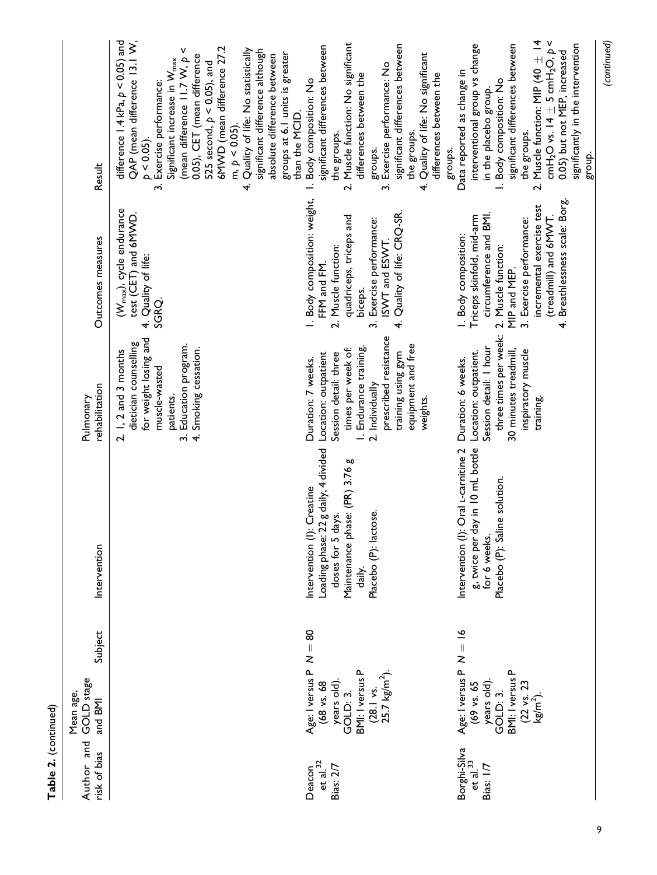| t |
|---|
|   |
|   |

| risk of bias                                      | Author and GOLD stage<br>Mean age,<br>and BMI                                                                                 | Subject | Intervention                                                                                                                                                    | rehabilitation<br>Pulmonary                                                                                                                                                                                             | Outcomes measures                                                                                                                                                                                                                      | Result                                                                                                                                                                                                                                                                                                                                                                                                                                                                                                     |
|---------------------------------------------------|-------------------------------------------------------------------------------------------------------------------------------|---------|-----------------------------------------------------------------------------------------------------------------------------------------------------------------|-------------------------------------------------------------------------------------------------------------------------------------------------------------------------------------------------------------------------|----------------------------------------------------------------------------------------------------------------------------------------------------------------------------------------------------------------------------------------|------------------------------------------------------------------------------------------------------------------------------------------------------------------------------------------------------------------------------------------------------------------------------------------------------------------------------------------------------------------------------------------------------------------------------------------------------------------------------------------------------------|
|                                                   |                                                                                                                               |         |                                                                                                                                                                 | for weight losing and<br>dietician counselling<br>Education program.<br>4. Smoking cessation.<br>$2. 1, 2$ and 3 months<br>muscle-wasted<br>patients.<br>$\ddot{ }$                                                     | $(W_{\text{max}})$ , cycle endurance<br>test (CET) and 6MWD.<br>4. Quality of life:<br>SGRQ.                                                                                                                                           | QAP (mean difference 13.1 W,<br>difference $1.4$ kPa, $p < 0.05$ ) and<br>6MWD (mean difference 27.2<br>٧<br>Quality of life: No statistically<br>significant difference although<br>groups at 6.1 units is greater<br>0.05), CET (mean difference<br>absolute difference between<br>(mean difference $11.7 W$ , $p$<br>Significant increase in W <sub>max</sub><br>525 second, $p < 0.05$ ), and<br>Exercise performance<br>than the MCID<br>$m, p < 0.05$ ).<br>$p < 0.05$ ).<br>$\ddot{ }$<br>$\vec{r}$ |
| Deacon<br>et al. <sup>32</sup><br>Bias: 2/7       | Age: I versus P $N = 80$<br>BMI: I versus P<br>$25.7 \text{ kg/m}^2$ ).<br>years old)<br>(68 vs. 68<br>(28.1 v s.<br>GOLD: 3. |         | Loading phase: 22 g daily, 4 divided<br>Maintenance phase: (PR) 3.76 g<br>Creatine<br>Placebo (P): lactose.<br>doses for 5 days.<br>Intervention (I):<br>daily. | prescribed resistance<br>equipment and free<br>I. Endurance training.<br>times per week of:<br>training using gym<br>Location: outpatient<br>Session detail: three<br>Duration: 7 weeks.<br>2. Individually<br>weights. | I. Body composition: weight,<br>Quality of life: CRQ-SR.<br>quadriceps, triceps and<br>3. Exercise performance:<br>ISWT and ESWT.<br>2. Muscle function:<br>FFM and FM.<br>biceps.<br>$\vec{r}$                                        | 2. Muscle function: No significant<br>significant differences between<br>significant differences between<br>Quality of life: No significant<br>Exercise performance: No<br>differences between the<br>differences between the<br>I. Body composition: No<br>the groups.<br>the groups.<br>groups.<br>4.<br>$\ddot{\phantom{a}}$                                                                                                                                                                            |
| Borghi-Silva<br>et al. <sup>33</sup><br>Bias: 1/7 | Age: I versus P $N = 16$<br>BMI: I versus P<br>(22 vs. 23<br>kg/m <sup>2</sup> ).<br>years old).<br>GOLD: 3.<br>(69 vs. 65    |         | Intervention (I): Oral L-carnitine 2<br>g, twice per day in 10 mL bottle<br>Placebo (P): Saline solution.<br>for 6 weeks.                                       | three times per week:<br>Session detail: I hour<br>30 minutes treadmill,<br>inspiratory muscle<br>Location: outpatient.<br>Duration: 6 weeks.<br>training                                                               | 4. Breathlessness scale: Borg.<br>incremental exercise test<br>circumference and BMI.<br>(treadmill) and 6MWT.<br>Triceps skinfold, mid-arm<br>3. Exercise performance:<br>I. Body composition:<br>2. Muscle function:<br>MIP and MEP. | cmH <sub>2</sub> O vs. $14 \pm 5$ cmH <sub>2</sub> O, $p <$<br>2. Muscle function: MIP (40 $\pm$ 14<br>significantly in the intervention<br>interventional group vs change<br>significant differences between<br>0.05) but not MEP, increased<br>Data reported as change in<br>I. Body composition: No<br>in the placebo group.<br>the groups.<br>groups.<br>group.                                                                                                                                        |
|                                                   |                                                                                                                               |         |                                                                                                                                                                 |                                                                                                                                                                                                                         |                                                                                                                                                                                                                                        | (continued)                                                                                                                                                                                                                                                                                                                                                                                                                                                                                                |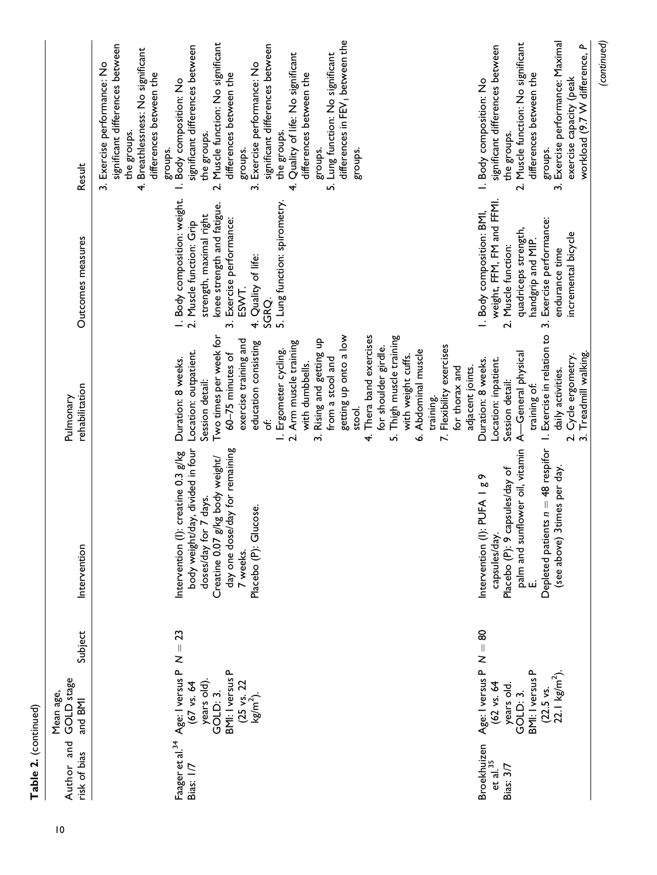| risk of bias                             | Author and GOLD stage<br>Mean age,<br>and BMI                                                                                                      | Subject | Intervention                                                                                                                                                                                                  | rehabilitation<br>Pulmonary                                                                                                                                                                                                                                                                                                                                                      | Outcomes measures                                                                                                                                                                               | Result                                                                                                                                                                                                                                                                                                                                                                                            |
|------------------------------------------|----------------------------------------------------------------------------------------------------------------------------------------------------|---------|---------------------------------------------------------------------------------------------------------------------------------------------------------------------------------------------------------------|----------------------------------------------------------------------------------------------------------------------------------------------------------------------------------------------------------------------------------------------------------------------------------------------------------------------------------------------------------------------------------|-------------------------------------------------------------------------------------------------------------------------------------------------------------------------------------------------|---------------------------------------------------------------------------------------------------------------------------------------------------------------------------------------------------------------------------------------------------------------------------------------------------------------------------------------------------------------------------------------------------|
| Faager et al. <sup>34</sup><br>Bias: 1/7 | Age: I versus P $N = 23$<br>(67 vs. 64<br>BMI: I versus P<br>years old).<br>$(25 \text{ vs. } 22)$<br>GOLD: 3.                                     |         | body weight/day, divided in four<br>day one dose/day for remaining<br>creatine 0.3 g/kg<br>Creatine 0.07 g/kg body weight/<br>doses/day for 7 days.<br>Placebo (P): Glucose.<br>Intervention (I):<br>7 weeks. | Two times per week for<br>exercise training and<br>education consisting<br>Location: outpatient.<br>60-75 minutes of<br>Duration: 8 weeks.<br>Session detail:<br>نه<br>6                                                                                                                                                                                                         | I. Body composition: weight.<br>2. Muscle function: Grip<br>knee strength and fatigue.<br>strength, maximal right<br>3. Exercise performance:<br>4. Quality of life:<br>ESWT.<br>SGRQ.          | 2. Muscle function: No significant<br>significant differences between<br>significant differences between<br>significant differences between<br>4. Breathlessness: No significant<br>Exercise performance: No<br>Exercise performance: No<br>differences between the<br>differences between the<br>I. Body composition: No<br>the groups.<br>the groups.<br>groups.<br>groups.<br>w.<br>$\ddot{ }$ |
|                                          |                                                                                                                                                    |         |                                                                                                                                                                                                               | Thera band exercises<br>5. Thigh muscle training<br>getting up onto a low<br>Rising and getting up<br>2. Arm muscle training<br>7. Flexibility exercises<br>for shoulder girdle.<br>I. Ergometer cycling.<br>Abdominal muscle<br>with weight cuffs.<br>from a stool and<br>with dumbbells.<br>for thorax and<br>adjacent joints.<br>training.<br>stool.<br>Ġ<br>$\ddot{ }$<br>4. | 5. Lung function: spirometry.                                                                                                                                                                   | differences in FEV, between the<br>Lung function: No significant<br>Quality of life: No significant<br>differences between the<br>the groups.<br>groups.<br>groups.<br>$\vec{r}$<br>ம்                                                                                                                                                                                                            |
| Broekhuizen<br>et al. $35$<br>Bias: 3/7  | Age: I versus $P N = 80$<br>BMI: I versus P<br>$22.1 \text{ kg/m}^2$ ).<br>years old.<br>GOLD: 3.<br>$(62 \text{ vs. } 64)$<br>$(22.5 \text{ vs.}$ |         | Depleted patients $n = 48$ respifor<br>capsules/day.<br>Placebo (P): 9 capsules/day of<br>(see above) 3times per day<br>ᡡ<br>PUFA I g<br>Intervention (I):                                                    | I. Exercise in relation to<br>-General physical<br>3. Treadmill walking.<br>Cycle ergometry.<br>Duration: 8 weeks.<br>Location: inpatient.<br>daily activities.<br>Session detail:<br>training of:<br>$\overline{\mathbf{v}}$<br>₹                                                                                                                                               | weight, FFM, FM and FFMI.<br>I. Body composition: BMI,<br>3. Exercise performance:<br>quadriceps strength,<br>incremental bicycle<br>handgrip and MIP.<br>2. Muscle function:<br>endurance time | Exercise performance: Maximal<br>(continued)<br>2. Muscle function: No significant<br>workload (9.7 W difference, P<br>significant differences between<br>differences between the<br>exercise capacity (peak<br>I. Body composition: No<br>the groups.<br>groups.<br>$\ddot{ }$                                                                                                                   |

Table 2. (continued)

Table 2. (continued)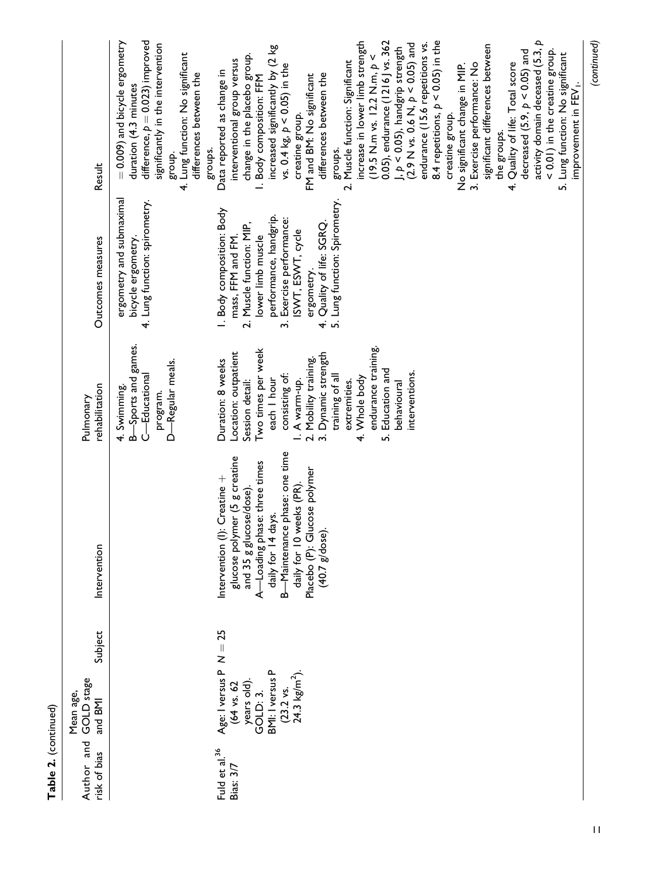| г |
|---|
|   |
|   |
| c |
|   |
|   |
|   |
|   |
|   |

| risk of bias                           | Author and GOLD stage<br>Mean age,<br>and BMI                                                                                      | Subject | Intervention                                                                                                                                                                                                                                                             | rehabilitation<br>Pulmonary                                                                                                                                                                                                                                                                                                               | Outcomes measures                                                                                                                                                                                                                                         | Result                                                                                                                                                                                                                                                                                                                                                                                                                                                                                                                                                                                                                                                                                                                                                                                                                                                                                                                                                                                                  |
|----------------------------------------|------------------------------------------------------------------------------------------------------------------------------------|---------|--------------------------------------------------------------------------------------------------------------------------------------------------------------------------------------------------------------------------------------------------------------------------|-------------------------------------------------------------------------------------------------------------------------------------------------------------------------------------------------------------------------------------------------------------------------------------------------------------------------------------------|-----------------------------------------------------------------------------------------------------------------------------------------------------------------------------------------------------------------------------------------------------------|---------------------------------------------------------------------------------------------------------------------------------------------------------------------------------------------------------------------------------------------------------------------------------------------------------------------------------------------------------------------------------------------------------------------------------------------------------------------------------------------------------------------------------------------------------------------------------------------------------------------------------------------------------------------------------------------------------------------------------------------------------------------------------------------------------------------------------------------------------------------------------------------------------------------------------------------------------------------------------------------------------|
|                                        |                                                                                                                                    |         |                                                                                                                                                                                                                                                                          | B-Sports and games.<br>D—Regular meals.<br>-Educational<br>4. Swimming.<br>program.<br>ڻ                                                                                                                                                                                                                                                  | ergometry and submaximal<br>4. Lung function: spirometry.<br>bicycle ergometry.                                                                                                                                                                           | $= 0.009$ ) and bicycle ergometry<br>difference, $p = 0.023$ ) improved<br>significantly in the intervention<br>4. Lung function: No significant<br>differences between the<br>duration (4.3 minutes<br>group.                                                                                                                                                                                                                                                                                                                                                                                                                                                                                                                                                                                                                                                                                                                                                                                          |
| Fuld et al. <sup>36</sup><br>Bias: 3/7 | Age: I versus P $N = 25$<br>years old).<br>GOLD: 3.<br>BMI: I versus P<br>$(23.2 \text{ vs. } 24.3 \text{ kg/m}^2).$<br>(64 vs. 62 |         | B-Maintenance phase: one time<br>glucose polymer (5 g creatine<br>A—Loading phase: three times<br>Placebo (P): Glucose polymer<br>Intervention (I): Creatine $+$<br>daily for 10 weeks (PR).<br>and 35 g glucose/dose).<br>daily for 14 days.<br>$(40.7 \text{ g/dose})$ | endurance training.<br>Two times per week<br>Location: outpatient<br>3. Dynamic strength<br>2. Mobility training.<br>Duration: 8 weeks<br>Education and<br>interventions.<br>consisting of:<br>training of all<br>Whole body<br>each I hour<br>I. A warm-up.<br>extremities.<br>Session detail:<br>behavioural<br>$\vec{r}$<br><u>ທີ່</u> | 5. Lung function: Spirometry.<br>I. Body composition: Body<br>performance, handgrip.<br>Exercise performance:<br>4. Quality of life: SGRQ.<br>2. Muscle function: MIP,<br>ISWT, ESWT, cycle<br>lower limb muscle<br>mass, FFM and FM.<br>ergometry.<br>w. | activity domain deceased (5.3, p<br>0.05), endurance (1216 J vs. 362<br>8.4 repetitions, $p < 0.05$ ) in the<br>increase in lower limb strength<br>endurance (15.6 repetitions vs.<br>$(2.900 \times 4 \times 2 \times 0.000)$<br>significant differences between<br>increased significantly by $(2 \text{ kg})$<br>$J, p < 0.05$ ), handgrip strength<br>< 0.01) in the creatine group.<br>decreased $(5.9, p < 0.05)$ and<br>5. Lung function: No significant<br>change in the placebo group.<br>$(19.5$ N.m vs. 12.2 N.m, $p <$<br>interventional group versus<br>Muscle function: Significant<br>4. Quality of life: Total score<br>3. Exercise performance: No<br>No significant change in MIP.<br>vs. $0.4$ kg, $p < 0.05$ ) in the<br>Data reported as change in<br>differences between the<br>FM and BM: No significant<br>I. Body composition: FFM<br>improvement in FEV <sub>1</sub> .<br>creatine group.<br>creatine group.<br>the groups.<br>groups.<br>groups.<br>$\overline{\mathcal{N}}$ |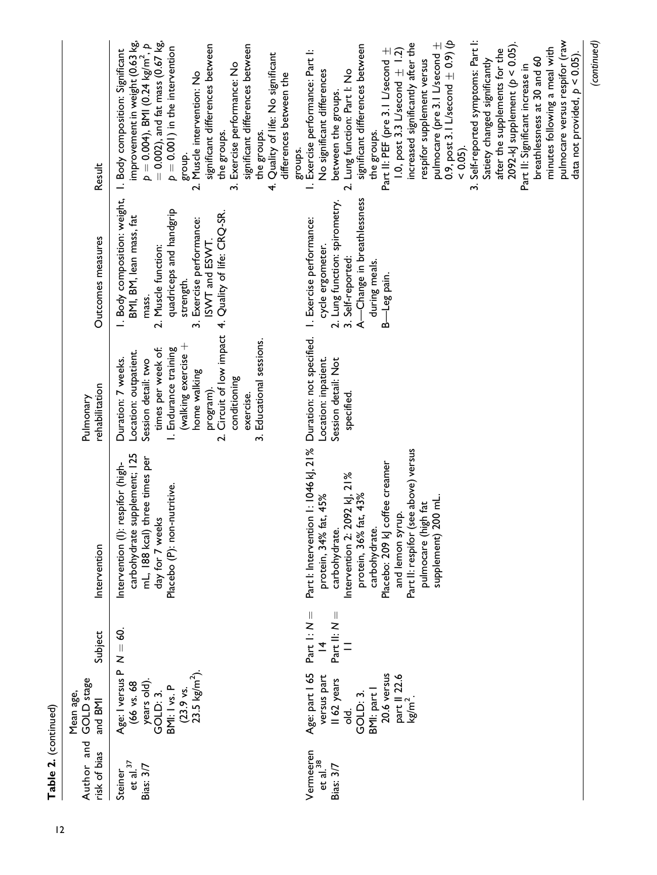| j<br>continur<br>able 7 | $rac{56}{3}$<br>ean |
|-------------------------|---------------------|

| risk of bias                                   | Author and GOLD stage<br>and BMI                                                                                                      | Subject                                      | Intervention                                                                                                                                                                                                                                                                                                                    | rehabilitation<br>Pulmonary                                                                                                                                                                                                                               | Outcomes measures                                                                                                                                                                                                                  | Result                                                                                                                                                                                                                                                                                                                                                                                                                                                                                                                                                                                                                                                                                                                                                           |
|------------------------------------------------|---------------------------------------------------------------------------------------------------------------------------------------|----------------------------------------------|---------------------------------------------------------------------------------------------------------------------------------------------------------------------------------------------------------------------------------------------------------------------------------------------------------------------------------|-----------------------------------------------------------------------------------------------------------------------------------------------------------------------------------------------------------------------------------------------------------|------------------------------------------------------------------------------------------------------------------------------------------------------------------------------------------------------------------------------------|------------------------------------------------------------------------------------------------------------------------------------------------------------------------------------------------------------------------------------------------------------------------------------------------------------------------------------------------------------------------------------------------------------------------------------------------------------------------------------------------------------------------------------------------------------------------------------------------------------------------------------------------------------------------------------------------------------------------------------------------------------------|
| et al. <sup>37</sup><br>Bias: 3/7<br>Steiner   | Age: I versus P $N = 60$ .<br>$(23.9 \text{ vs. } 23.5 \text{ kg/m}^2).$<br>years old).<br>GOLD: 3.<br>BMI: I vs. P<br>(66 vs. 68     |                                              | supplement; 125<br>mL, 188 kcal) three times per<br>Intervention (I): respifor (high-<br>day for 7 weeks<br>Placebo (P): non-nutritive.<br>carbohydrate                                                                                                                                                                         | 3. Educational sessions.<br>(walking exercise +<br>times per week of:<br>I. Endurance training<br>Location: outpatient.<br>Duration: 7 weeks.<br>Session detail: two<br>home walking<br>conditioning<br>program).<br>exercise.<br>$\overline{\mathbf{r}}$ | I. Body composition: weight,<br>quadriceps and handgrip<br>Circuit of low impact 4. Quality of life: CRQ-SR.<br>BMI, BM, lean mass, fat<br>3. Exercise performance:<br>ISWT and ESWT.<br>2. Muscle function:<br>strength.<br>mass. | $= 0.002$ ), and fat mass (0.67 kg,<br>improvement in weight (0.63 kg,<br>$p=0.004$ ), BMI (0.24 kg/m <sup>2</sup> , $p$<br>significant differences between<br>significant differences between<br>$p = 0.001$ ) in the intervention<br>I. Body composition: Significant<br>Quality of life: No significant<br>Exercise performance: No<br>2. Muscle intervention: No<br>differences between the<br>the groups.<br>the groups.<br>groups.<br>group.<br>$\vec{r}$<br>m                                                                                                                                                                                                                                                                                             |
| Vermeeren<br>et al. <sup>38</sup><br>Bias: 3/7 | Age: part   65<br>versus part<br>20.6 versus<br>part    22.6<br>kg/m <sup>2</sup> .<br>II 62 years<br>BMI: part I<br>old.<br>GOLD: 3. | Part $I: N =$<br>Part II: $N =$<br>$\vec{a}$ | Part I: Intervention 1: 1046 kJ, 21% Duration: not specified.<br>Part II: respifor (see above) versus<br>coffee creamer<br>Intervention 2: 2092 kJ, 21%<br>protein, 36% fat, 43%<br>protein, 34% fat, 45%<br>supplement) 200 mL.<br>pulmocare (high fat<br>and lemon syrup.<br>carbohydrate.<br>carbohydrate<br>Placebo: 209 kJ | Location: inpatient.<br>Session detail: Not<br>specified                                                                                                                                                                                                  | -Change in breathlessness<br>2. Lung function: spirometry.<br>I. Exercise performance:<br>cycle ergometer.<br>3. Self-reported:<br>during meals.<br>-Leg pain.<br>₹<br>ക്                                                          | Self-reported symptoms: Part l:<br>0.9, post 3.1 L/second $\pm$ 0.9) (p<br>pulmocare versus respifor (raw<br>pulmocare (pre 3.1 L/second $\pm$<br>increased significantly after the<br>2092-kJ supplement ( $p < 0.05$ ).<br>significant differences between<br>minutes following a meal with<br>Part II: PEF (pre 3.1 L/second $\pm$<br>1.0, post 3.3 L/second $\pm$ 1.2)<br>after the supplements for the<br>I. Exercise performance: Part I:<br>data not provided, $p < 0.05$ ).<br>breathlessness at 30 and 60<br>Satiety changed significantly<br>respifor supplement versus<br>Part II: Significant increase in<br>Lung function: Part I: No<br>No significant differences<br>between the groups.<br>the groups.<br>$< 0.05$ ).<br>$\dot{\mathsf{h}}$<br>m |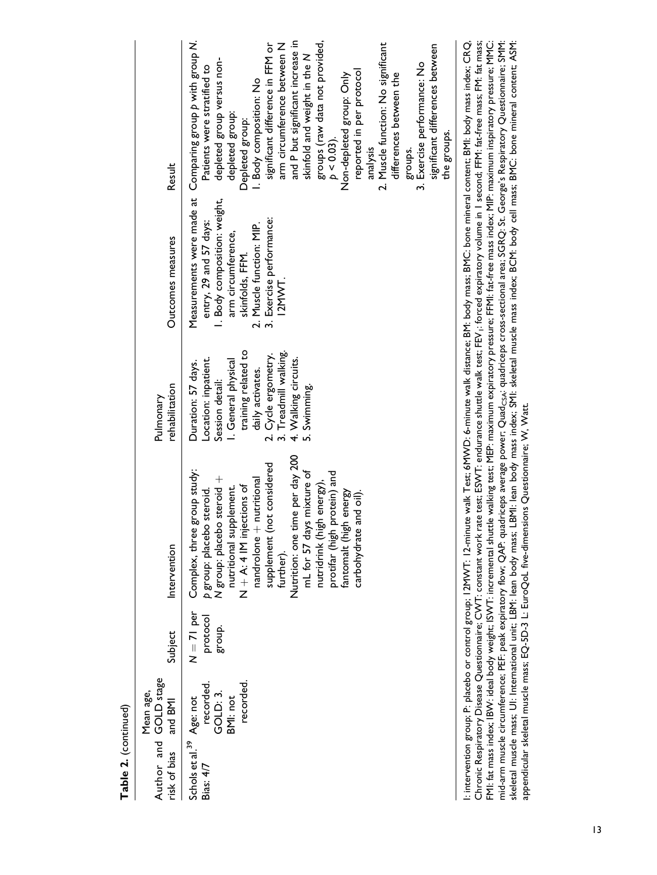| Table 2. (continued)                              |                                                |                                    |                                                                                                                                                                                                                                                                                                                                                                                                                              |                                                                                                                                                                                                                         |                                                                                                                                                                   |                                                                                                                                                                                                                                                                                                                                                                                                                                                                                                                                                                                                                      |
|---------------------------------------------------|------------------------------------------------|------------------------------------|------------------------------------------------------------------------------------------------------------------------------------------------------------------------------------------------------------------------------------------------------------------------------------------------------------------------------------------------------------------------------------------------------------------------------|-------------------------------------------------------------------------------------------------------------------------------------------------------------------------------------------------------------------------|-------------------------------------------------------------------------------------------------------------------------------------------------------------------|----------------------------------------------------------------------------------------------------------------------------------------------------------------------------------------------------------------------------------------------------------------------------------------------------------------------------------------------------------------------------------------------------------------------------------------------------------------------------------------------------------------------------------------------------------------------------------------------------------------------|
| risk of bias                                      | Author and GOLD stage<br>Mean age,<br>and BMI  | Subject                            | Intervention                                                                                                                                                                                                                                                                                                                                                                                                                 | rehabilitation<br>Pulmonary                                                                                                                                                                                             | Outcomes measures                                                                                                                                                 | Result                                                                                                                                                                                                                                                                                                                                                                                                                                                                                                                                                                                                               |
| Schols et al. <sup>39</sup> Age: not<br>Bias: 4/7 | recorded.<br>recorded.<br>GOLD: 3.<br>BMI: not | $N = 71$ per<br>protocol<br>group. | time per day 200<br>not considered<br>group study:<br>mL for 57 days mixture of<br>nutridrink (high energy),<br>protifar (high protein) and<br>$N$ group: placebo steroid $+$<br>$+$ nutritional<br>nutritional supplement.<br>N + A: 4 IM injections of<br>p group: placebo steroid.<br>fantomalt (high energy<br>and oil).<br>Complex, three<br>carbohydrate<br>nandrolone-<br>supplement (<br>Nutrition: one<br>further). | training related to<br>3. Treadmill walking.<br>2. Cycle ergometry.<br>4. Walking circuits.<br>Location: inpatient.<br>I. General physical<br>Duration: 57 days.<br>daily activates.<br>Session detail:<br>5. Swimming. | I. Body composition: weight,<br>3. Exercise performance:<br>entry, 29 and 57 days:<br>2. Muscle function: MIP.<br>arm circumference,<br>skinfolds, FFM.<br>I2MWT. | and P but significant increase in<br>Measurements were made at Comparing group $p$ with group N.<br>groups (raw data not provided,<br>significant difference in FFM or<br>arm circumference between N<br>2. Muscle function: No significant<br>significant differences between<br>skinfold and weight in the N<br>depleted group versus non-<br>3. Exercise performance: No<br>Patients were stratified to<br>reported in per protocol<br>Non-depleted group: Only<br>differences between the<br>. Body composition: No<br>depleted group:<br>Depleted group:<br>$p < 0.03$ ).<br>the groups.<br>analysis<br>groups. |
|                                                   |                                                |                                    |                                                                                                                                                                                                                                                                                                                                                                                                                              |                                                                                                                                                                                                                         |                                                                                                                                                                   |                                                                                                                                                                                                                                                                                                                                                                                                                                                                                                                                                                                                                      |

l: intervention group; P: placebo or control group; I2MWT: I2-minute walk Test; 6MWD: 6-minute walk distance; BM: body mass; BMC: bone mineral content; BMI: body mass index; CRQ,<br>Chronic Respiratory Disease Questionnaire; mid-arm muscle circumference; PEF: peak expiratory flow; QAP: quadriceps average power; Quad<sub>CsA</sub>: quadriceps cross-sectional area; SGRQ: St. George's Respiratory Questionnaire; SMM:<br>skeletal muscle mass; UI: International FMI: fat mass index; IBW: ideal body weight; ISWT: incremental shuttle walking test; MEP: maximum expiratory pressure; FFMI: fat-free mass index; MIP: maximum inspiratory pressure; MMC: I: intervention group; P: placebo or control group; 12MWT: 12-minute walk Test; 6MWD: 6-minute walk distance; BM: body mass; BMC: bone mineral content; BMI: body mass index; CRQ, Chronic Respiratory Disease Questionnaire; CWT: constant work rate test; ESWT: endurance shuttle walk test; FEV1: forced expiratory volume in 1 second; FFM: fat-free mass; FM: fat mass; FMI: fat mass index; IBW: ideal body weight; ISWT: incremental shuttle walking test; MEP: maximum expiratory pressure; FFMI: fat-free mass index; MIP: maximum inspiratory pressure; MMC: mid-arm muscle circumference; PEF: peak expiratory flow; QAP: quadriceps average power; Quadc<sub>SA</sub>: quadriceps cross-sectional area; SGRQ: St. George's Respiratory Questionnaire; SMM: skeletal muscle mass; UI: International unit; LBM: lean body mass; LBMI: lean body mass index; SMI: skeletal muscle mass index; BCM: body cell mass; BMC: bone mineral content; ASM: appendicular skeletal muscle mass; EQ-5D-3 L: EuroQoL five-dimensions Questionnaire; W, Watt. appendicular skeletal muscle mass; EQ-5D-3 L: EuroQoL five-dimensions Questionnaire; W, Watt.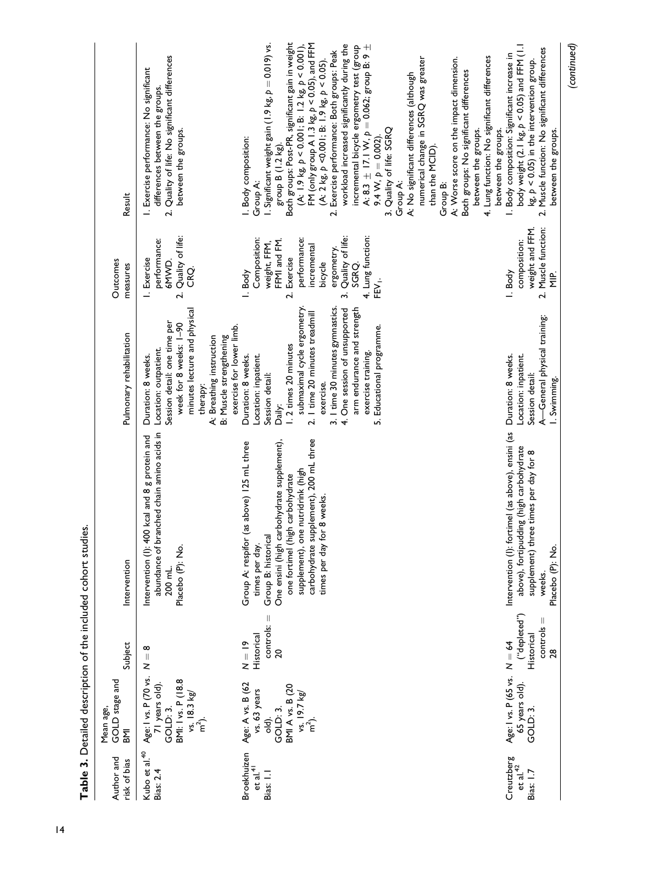| Table 3. Detailed description of the included cohort studies |
|--------------------------------------------------------------|
| ຸິ<br>c<br>co<br>Ň<br>こく                                     |

| Author and<br>risk of bias                        | GOLD stage and<br>Mean age,<br>욁                                                                                       | Subject                                                 | Intervention                                                                                                                                                                                                                                                                     | Pulmonary rehabilitation                                                                                                                                                                                                                                                                                                                        | Outcomes<br>measures                                                                                                                                                                                      | Result                                                                                                                                                                                                                                                                                                                                                                                                                                                                                                                                                                                                                                                                                                                                                                                                                                                                                                                                                |
|---------------------------------------------------|------------------------------------------------------------------------------------------------------------------------|---------------------------------------------------------|----------------------------------------------------------------------------------------------------------------------------------------------------------------------------------------------------------------------------------------------------------------------------------|-------------------------------------------------------------------------------------------------------------------------------------------------------------------------------------------------------------------------------------------------------------------------------------------------------------------------------------------------|-----------------------------------------------------------------------------------------------------------------------------------------------------------------------------------------------------------|-------------------------------------------------------------------------------------------------------------------------------------------------------------------------------------------------------------------------------------------------------------------------------------------------------------------------------------------------------------------------------------------------------------------------------------------------------------------------------------------------------------------------------------------------------------------------------------------------------------------------------------------------------------------------------------------------------------------------------------------------------------------------------------------------------------------------------------------------------------------------------------------------------------------------------------------------------|
| Kubo et al. <sup>40</sup><br>Bias: 2.4            | Age: I vs. P (70 vs.<br>GOLD: 3.<br>BMI: I vs. P (18.8<br>71 years old).<br>vs. $18.3 \text{ kg}$<br>m <sup>2</sup> ). | $\infty$<br>$\frac{1}{2}$                               | abundance of branched chain amino acids in<br>Intervention (I): 400 kcal and 8 g protein and<br>Placebo (P): No.<br>200 mL.                                                                                                                                                      | minutes lecture and physical<br>Session detail: one time per<br>week for 8 weeks: 1-90<br>exercise for lower limb.<br>B: Muscle strengthening<br>A: Breathing instruction<br>Location: outpatient.<br>Duration: 8 weeks.<br>therapy:                                                                                                            | Quality of life:<br>performance:<br>I. Exercise<br>6MWD.<br>CRQ.<br>$\overline{\mathbf{r}}$                                                                                                               | Quality of life: No significant differences<br>1. Exercise performance: No significant<br>differences between the groups.<br>between the groups.<br>$\overline{\mathbf{r}}$                                                                                                                                                                                                                                                                                                                                                                                                                                                                                                                                                                                                                                                                                                                                                                           |
| Broekhuizen<br>$et$ al. <sup>41</sup><br>Bias:  . | Age: A vs. B (62<br>old).<br>GOLD: 3.<br>BMI A vs. B (20<br>vs. 63 years<br>vs. 19.7 kg/<br>$m2$ .                     | $corrols =$<br>Historical<br>$N = 19$<br>$\overline{c}$ | carbohydrate supplement), 200 mL three<br>One ensini (high carbohydrate supplement),<br>Group A: respifor (as above) 125 mL three<br>supplement), one nutridrink (high<br>one fortimel (high carbohydrate<br>times per day for 8 weeks.<br>Group B: historical<br>times per day. | 3. I time 30 minutes gymnastics.<br>submaximal cycle ergometry.<br>One session of unsupported<br>arm endurance and strength<br>2. I time 20 minutes treadmill<br>Educational programme.<br>I. 2 times 20 minutes<br>exercise training.<br>Duration: 8 weeks.<br>Location: inpatient.<br>Session detail:<br>exercise.<br>Daily:<br>4.<br>.<br>شا | Quality of life:<br>4. Lung function:<br>Composition:<br>FFMI and FM.<br>performance:<br>weight, FFM,<br>incremental<br>ergometry.<br>2. Exercise<br>bicycle<br>SGRQ.<br>I. Body<br>$EN1$ .<br>$\ddot{ }$ | Both groups: Post-PR, significant gain in weight<br>FM (only group A 1.3 kg, $p < 0.05$ ), and FFM<br>workload increased significantly during the<br>I. Significant weight gain (1.9 kg, $p = 0.019$ ) vs.<br>$(A: 1.9 \text{ kg}, p < 0.001; \text{ B}: 1.2 \text{ kg}, p < 0.001$<br>A: 8.3 $\pm$ 17.1 W, $p = 0.062$ ; group B: 9 $\pm$<br>incremental bicycle ergometry test (group<br>2. Exercise performance: Both groups: Peak<br>4. Lung function: No significant differences<br>numerical change in SGRQ was greater<br>A: Worse score on the impact dimension.<br>$(A: 2 \text{ kg. } p \le 0.001; B: 1.9 \text{ kg. } p \le 0.05).$<br>Both groups: No significant differences<br>A: No significant differences (although<br>3. Quality of life: SGRQ<br>between the groups.<br>between the groups.<br>9.4 W, $p = 0.002$ ).<br>I. Body composition:<br>group $B(1.2 \text{ kg})$ .<br>than the MCID).<br>Group A:<br>Group A:<br>Group B: |
| Creutzberg<br>et al. <sup>42</sup><br>Bias: 1.7   | Age: I vs. P (65 vs. $N = 64$<br>65 years old).<br>GOLD: 3.                                                            | ("depleted")<br>controls<br>Historical<br>28            | Intervention (I): fortimel (as above), ensini (as<br>above), fortipudding (high carbohydrate<br>supplement) three times per day for 8<br>Placebo (P): No.<br>weeks.                                                                                                              | A—General physical training:<br>Duration: 8 weeks.<br>Location: inpatient.<br>Session detail:<br>I. Swimming.                                                                                                                                                                                                                                   | 2. Muscle function:<br>weight and FFM.<br>composition:<br>I. Body<br>$\frac{\rho}{\overline{\Sigma}}$                                                                                                     | body weight $(2.1 \text{ kg}, p < 0.05)$ and FFM $(1.1)$<br>Muscle function: No significant differences<br>Body composition: Significant increase in<br>kg, $p < 0.05$ ) in the intervention group.<br>between the groups.<br>$\dot{\mathsf{r}}$                                                                                                                                                                                                                                                                                                                                                                                                                                                                                                                                                                                                                                                                                                      |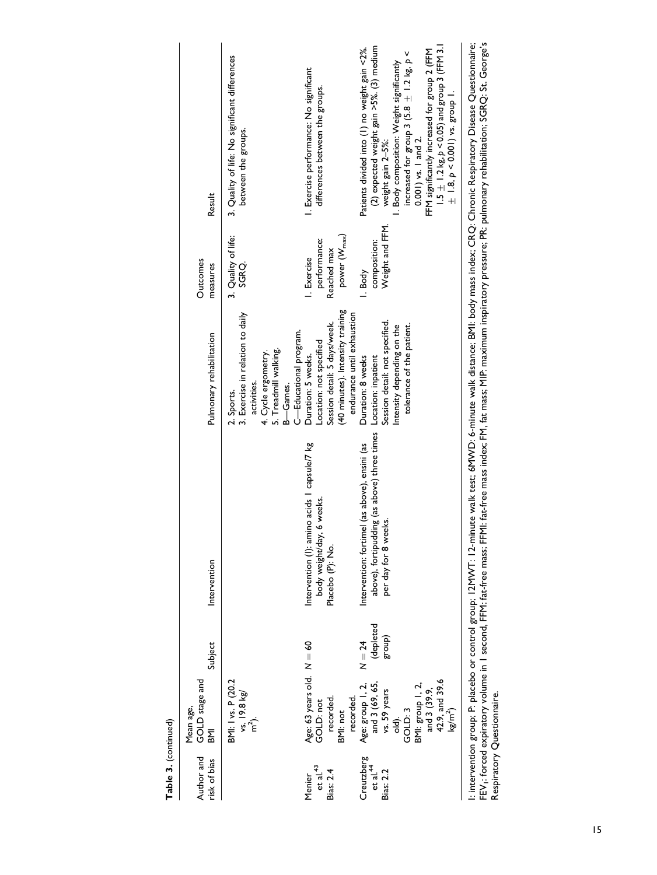| Table 3. (continued)                   |                                                                                                                                                   |                                 |                                                                                                                                                                                                                                                                                                                                                                                    |                                                                                                                                                             |                                                                         |                                                                                                                                                                                                                                                                                                                                                                                            |
|----------------------------------------|---------------------------------------------------------------------------------------------------------------------------------------------------|---------------------------------|------------------------------------------------------------------------------------------------------------------------------------------------------------------------------------------------------------------------------------------------------------------------------------------------------------------------------------------------------------------------------------|-------------------------------------------------------------------------------------------------------------------------------------------------------------|-------------------------------------------------------------------------|--------------------------------------------------------------------------------------------------------------------------------------------------------------------------------------------------------------------------------------------------------------------------------------------------------------------------------------------------------------------------------------------|
| Author and<br>risk of bias             | GOLD stage and<br>Mean age,<br>읾                                                                                                                  | Subject                         | Intervention                                                                                                                                                                                                                                                                                                                                                                       | Pulmonary rehabilitation                                                                                                                                    | Outcomes<br>measures                                                    | Result                                                                                                                                                                                                                                                                                                                                                                                     |
|                                        | BMI: I vs. P (20.2<br>vs. 19.8 kg/ $m^2$ ).                                                                                                       |                                 |                                                                                                                                                                                                                                                                                                                                                                                    | 3. Exercise in relation to daily<br>C-Educational program.<br>5. Treadmill walking.<br>4. Cycle ergometry.<br>activities.<br><b>B</b> -Games.<br>2. Sports. | 3. Quality of life:<br>SGRQ.                                            | 3. Quality of life: No significant differences<br>between the groups.                                                                                                                                                                                                                                                                                                                      |
| et al. $43$<br>Bias: 2.4<br>Menier     | Age: 63 years old. $N = 60$<br>recorded.<br>recorded.<br>GOLD: not<br>BMI: not                                                                    |                                 | Intervention (I): amino acids 1 capsule/7 $kg$<br>body weight/day, 6 weeks.<br>Placebo (P): No.                                                                                                                                                                                                                                                                                    | (40 minutes). Intensity training<br>endurance until exhaustion<br>Session detail: 5 days/week.<br>Location: not specified<br>Duration: 5 weeks.             | power (W <sub>max</sub> )<br>performance:<br>Reached max<br>I. Exercise | I. Exercise performance: No significant<br>differences between the groups.                                                                                                                                                                                                                                                                                                                 |
| Creutzberg<br>et al. $44$<br>Bias: 2.2 | 42.9, and 39.6<br>and 3 (69, 65,<br>BMI: group 1, 2,<br>and 3 (39.9,<br>Age: group 1, 2,<br>vs. 59 years<br>GOLD: 3<br>$kg/m2$ )<br>$\frac{1}{6}$ | (depleted<br>group)<br>$N = 24$ | above), fortipudding (as above) three times<br>Intervention: fortimel (as above), ensini (as<br>per day for 8 weeks.                                                                                                                                                                                                                                                               | Session detail: not specified.<br>Intensity depending on the<br>tolerance of the patient.<br>Location: inpatient<br>Duration: 8 weeks                       | Weight and FFM.<br>composition:<br>l. Body                              | $1.5 \pm 1.2$ kg, $p < 0.05$ ) and group 3 (FFM 3.1<br>(2) expected weight gain $>5\%$ . (3) medium<br>Patients divided into (1) no weight gain <2%.<br>FFM significantly increased for group 2 (FFM<br>increased for group 3 (5.8 $\pm$ 1.2 kg, $p <$<br>. Body composition: Weight significantly<br>$\pm$ 1.8, $p < 0.001$ ) vs. group 1.<br>$0.001$ ) vs. 1 and 2.<br>weight gain 2-5%: |
|                                        |                                                                                                                                                   |                                 | FEV, forced expiratory volume in I second, FFM: fat-free mass, FFMI: fat-free mass index, FM, fat mass, MIP: maximum inspiratory pressure; PR: pulmonary rehabilitation; SGRQ: St. George's<br>I: intervention group; P: placebo or control group; 12MWT: 12-minute walk test; 6MWD: 6-minute walk distance; BMI: body mass index; CRQ: Chronic Respiratory Disease Questionnaire; |                                                                                                                                                             |                                                                         |                                                                                                                                                                                                                                                                                                                                                                                            |

Respiratory Questionnaire.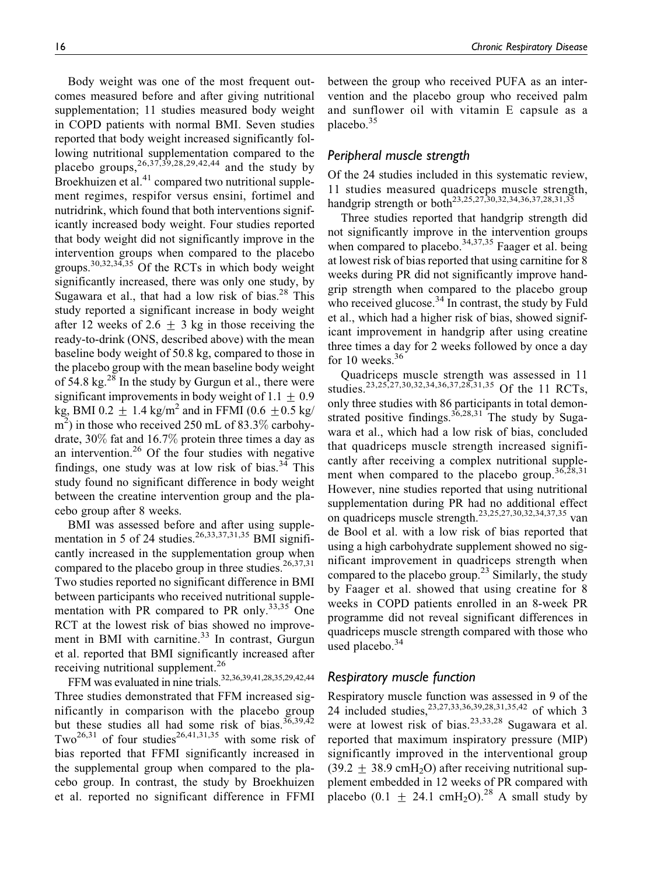Body weight was one of the most frequent outcomes measured before and after giving nutritional supplementation; 11 studies measured body weight in COPD patients with normal BMI. Seven studies reported that body weight increased significantly following nutritional supplementation compared to the placebo groups,  $^{26,37,39,28,29,42,44}$  and the study by Broekhuizen et al.<sup>41</sup> compared two nutritional supplement regimes, respifor versus ensini, fortimel and nutridrink, which found that both interventions significantly increased body weight. Four studies reported that body weight did not significantly improve in the intervention groups when compared to the placebo groups.  $30,32,34,35$  Of the RCTs in which body weight significantly increased, there was only one study, by Sugawara et al., that had a low risk of bias. $^{28}$  This study reported a significant increase in body weight after 12 weeks of 2.6  $+$  3 kg in those receiving the ready-to-drink (ONS, described above) with the mean baseline body weight of 50.8 kg, compared to those in the placebo group with the mean baseline body weight of 54.8 kg. $^{28}$  In the study by Gurgun et al., there were significant improvements in body weight of  $1.1 \pm 0.9$ kg, BMI 0.2 + 1.4 kg/m<sup>2</sup> and in FFMI (0.6 + 0.5 kg/  $\text{m}^2$ ) in those who received 250 mL of 83.3% carbohydrate, 30% fat and 16.7% protein three times a day as an intervention. $26$  Of the four studies with negative findings, one study was at low risk of bias. $34$  This study found no significant difference in body weight between the creatine intervention group and the placebo group after 8 weeks.

BMI was assessed before and after using supplementation in 5 of 24 studies.<sup>26,33,37,31,35</sup> BMI significantly increased in the supplementation group when compared to the placebo group in three studies.  $26,37,31$ Two studies reported no significant difference in BMI between participants who received nutritional supplementation with PR compared to PR only.<sup>33,35</sup> One RCT at the lowest risk of bias showed no improvement in BMI with carnitine.<sup>33</sup> In contrast, Gurgun et al. reported that BMI significantly increased after receiving nutritional supplement.<sup>26</sup>

FFM was evaluated in nine trials.32,36,39,41,28,35,29,42,44 Three studies demonstrated that FFM increased significantly in comparison with the placebo group but these studies all had some risk of bias.  $36,39,42$ Two<sup>26,31</sup> of four studies<sup>26,41,31,35</sup> with some risk of bias reported that FFMI significantly increased in the supplemental group when compared to the placebo group. In contrast, the study by Broekhuizen et al. reported no significant difference in FFMI

between the group who received PUFA as an intervention and the placebo group who received palm and sunflower oil with vitamin E capsule as a placebo.<sup>35</sup>

# Peripheral muscle strength

Of the 24 studies included in this systematic review, 11 studies measured quadriceps muscle strength, handgrip strength or both<sup>23,25,27,30,32,34,36,37,28,31,35</sup>

Three studies reported that handgrip strength did not significantly improve in the intervention groups when compared to placebo.<sup>34,37,35</sup> Faager et al. being at lowest risk of bias reported that using carnitine for 8 weeks during PR did not significantly improve handgrip strength when compared to the placebo group who received glucose. $34$  In contrast, the study by Fuld et al., which had a higher risk of bias, showed significant improvement in handgrip after using creatine three times a day for 2 weeks followed by once a day for 10 weeks.<sup>36</sup>

Quadriceps muscle strength was assessed in 11 studies.<sup>23,25,27,30,32,34,36,37,28,31,35</sup> Of the 11 RCTs. only three studies with 86 participants in total demonstrated positive findings.<sup>36,28,31</sup> The study by Sugawara et al., which had a low risk of bias, concluded that quadriceps muscle strength increased significantly after receiving a complex nutritional supplement when compared to the placebo group.  $36,28,31$ However, nine studies reported that using nutritional supplementation during PR had no additional effect on quadriceps muscle strength.<sup>23,25,27,30,32,34,37,35</sup> van de Bool et al. with a low risk of bias reported that using a high carbohydrate supplement showed no significant improvement in quadriceps strength when compared to the placebo group.<sup>23</sup> Similarly, the study by Faager et al. showed that using creatine for 8 weeks in COPD patients enrolled in an 8-week PR programme did not reveal significant differences in quadriceps muscle strength compared with those who used placebo. $34$ 

## Respiratory muscle function

Respiratory muscle function was assessed in 9 of the 24 included studies,23,27,33,36,39,28,31,35,42 of which 3 were at lowest risk of bias.<sup>23,33,28</sup> Sugawara et al. reported that maximum inspiratory pressure (MIP) significantly improved in the interventional group  $(39.2 \pm 38.9 \text{ cmH}_2\text{O})$  after receiving nutritional supplement embedded in 12 weeks of PR compared with placebo  $(0.1 \pm 24.1 \text{ cmH}_2\text{O})^{28}$  A small study by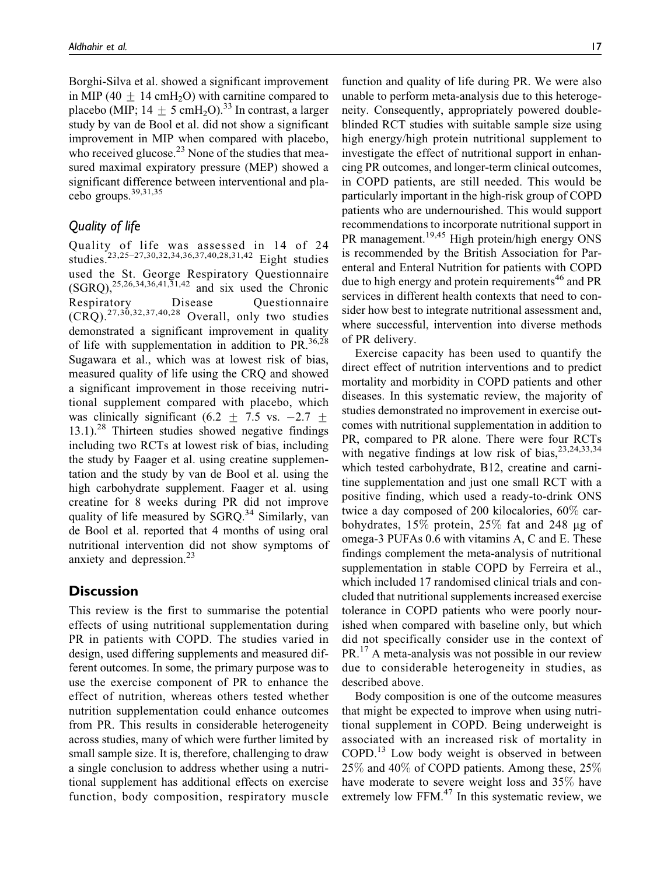Borghi-Silva et al. showed a significant improvement in MIP (40  $+$  14 cmH<sub>2</sub>O) with carnitine compared to placebo (MIP;  $14 \pm 5$  cmH<sub>2</sub>O).<sup>33</sup> In contrast, a larger study by van de Bool et al. did not show a significant improvement in MIP when compared with placebo, who received glucose. $^{23}$  None of the studies that measured maximal expiratory pressure (MEP) showed a significant difference between interventional and placebo groups.39,31,35

# Quality of life

Quality of life was assessed in 14 of 24 studies.23,25–27,30,32,34,36,37,40,28,31,42 Eight studies used the St. George Respiratory Questionnaire  $(SGRQ),^{25,26,34,36,41,\bar{3}1,42}$  and six used the Chronic Respiratory Disease Questionnaire  $(CRQ)$ .<sup>27,30,32,37,40,28</sup> Overall, only two studies demonstrated a significant improvement in quality of life with supplementation in addition to  $PR.^{36,28}$ Sugawara et al., which was at lowest risk of bias, measured quality of life using the CRQ and showed a significant improvement in those receiving nutritional supplement compared with placebo, which was clinically significant (6.2  $\pm$  7.5 vs. -2.7  $\pm$  $13.1$ ).<sup>28</sup> Thirteen studies showed negative findings including two RCTs at lowest risk of bias, including the study by Faager et al. using creatine supplementation and the study by van de Bool et al. using the high carbohydrate supplement. Faager et al. using creatine for 8 weeks during PR did not improve quality of life measured by  $SGRO.<sup>34</sup>$  Similarly, van de Bool et al. reported that 4 months of using oral nutritional intervention did not show symptoms of anxiety and depression.<sup>23</sup>

# **Discussion**

This review is the first to summarise the potential effects of using nutritional supplementation during PR in patients with COPD. The studies varied in design, used differing supplements and measured different outcomes. In some, the primary purpose was to use the exercise component of PR to enhance the effect of nutrition, whereas others tested whether nutrition supplementation could enhance outcomes from PR. This results in considerable heterogeneity across studies, many of which were further limited by small sample size. It is, therefore, challenging to draw a single conclusion to address whether using a nutritional supplement has additional effects on exercise function, body composition, respiratory muscle

function and quality of life during PR. We were also unable to perform meta-analysis due to this heterogeneity. Consequently, appropriately powered doubleblinded RCT studies with suitable sample size using high energy/high protein nutritional supplement to investigate the effect of nutritional support in enhancing PR outcomes, and longer-term clinical outcomes, in COPD patients, are still needed. This would be particularly important in the high-risk group of COPD patients who are undernourished. This would support recommendations to incorporate nutritional support in PR management.<sup>19,45</sup> High protein/high energy ONS is recommended by the British Association for Parenteral and Enteral Nutrition for patients with COPD due to high energy and protein requirements<sup>46</sup> and PR services in different health contexts that need to consider how best to integrate nutritional assessment and, where successful, intervention into diverse methods of PR delivery.

Exercise capacity has been used to quantify the direct effect of nutrition interventions and to predict mortality and morbidity in COPD patients and other diseases. In this systematic review, the majority of studies demonstrated no improvement in exercise outcomes with nutritional supplementation in addition to PR, compared to PR alone. There were four RCTs with negative findings at low risk of bias,  $23,24,33,34$ which tested carbohydrate, B12, creatine and carnitine supplementation and just one small RCT with a positive finding, which used a ready-to-drink ONS twice a day composed of 200 kilocalories, 60% carbohydrates,  $15\%$  protein,  $25\%$  fat and  $248 \mu$ g of omega-3 PUFAs 0.6 with vitamins A, C and E. These findings complement the meta-analysis of nutritional supplementation in stable COPD by Ferreira et al., which included 17 randomised clinical trials and concluded that nutritional supplements increased exercise tolerance in COPD patients who were poorly nourished when compared with baseline only, but which did not specifically consider use in the context of PR.<sup>17</sup> A meta-analysis was not possible in our review due to considerable heterogeneity in studies, as described above.

Body composition is one of the outcome measures that might be expected to improve when using nutritional supplement in COPD. Being underweight is associated with an increased risk of mortality in COPD.13 Low body weight is observed in between 25% and 40% of COPD patients. Among these, 25% have moderate to severe weight loss and 35% have extremely low  $FFM<sup>47</sup>$  In this systematic review, we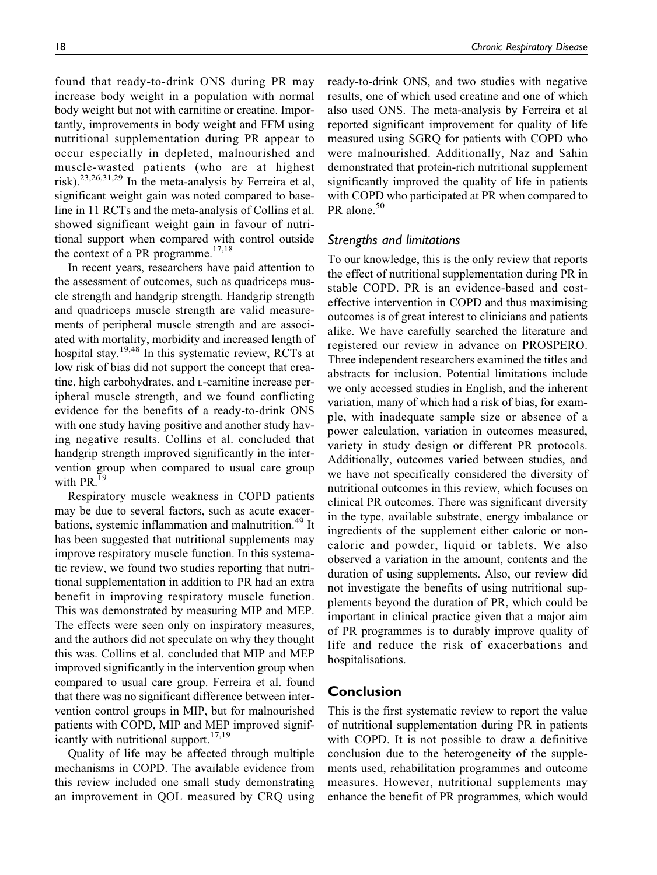found that ready-to-drink ONS during PR may increase body weight in a population with normal body weight but not with carnitine or creatine. Importantly, improvements in body weight and FFM using nutritional supplementation during PR appear to occur especially in depleted, malnourished and muscle-wasted patients (who are at highest risk).23,26,31,29 In the meta-analysis by Ferreira et al, significant weight gain was noted compared to baseline in 11 RCTs and the meta-analysis of Collins et al. showed significant weight gain in favour of nutritional support when compared with control outside the context of a PR programme. $17,18$ 

In recent years, researchers have paid attention to the assessment of outcomes, such as quadriceps muscle strength and handgrip strength. Handgrip strength and quadriceps muscle strength are valid measurements of peripheral muscle strength and are associated with mortality, morbidity and increased length of hospital stay.<sup>19,48</sup> In this systematic review, RCTs at low risk of bias did not support the concept that creatine, high carbohydrates, and L-carnitine increase peripheral muscle strength, and we found conflicting evidence for the benefits of a ready-to-drink ONS with one study having positive and another study having negative results. Collins et al. concluded that handgrip strength improved significantly in the intervention group when compared to usual care group with PR.<sup>19</sup>

Respiratory muscle weakness in COPD patients may be due to several factors, such as acute exacerbations, systemic inflammation and malnutrition.<sup>49</sup> It has been suggested that nutritional supplements may improve respiratory muscle function. In this systematic review, we found two studies reporting that nutritional supplementation in addition to PR had an extra benefit in improving respiratory muscle function. This was demonstrated by measuring MIP and MEP. The effects were seen only on inspiratory measures, and the authors did not speculate on why they thought this was. Collins et al. concluded that MIP and MEP improved significantly in the intervention group when compared to usual care group. Ferreira et al. found that there was no significant difference between intervention control groups in MIP, but for malnourished patients with COPD, MIP and MEP improved significantly with nutritional support.<sup>17,19</sup>

Quality of life may be affected through multiple mechanisms in COPD. The available evidence from this review included one small study demonstrating an improvement in QOL measured by CRQ using ready-to-drink ONS, and two studies with negative results, one of which used creatine and one of which also used ONS. The meta-analysis by Ferreira et al reported significant improvement for quality of life measured using SGRQ for patients with COPD who were malnourished. Additionally, Naz and Sahin demonstrated that protein-rich nutritional supplement significantly improved the quality of life in patients with COPD who participated at PR when compared to PR alone.<sup>50</sup>

# Strengths and limitations

To our knowledge, this is the only review that reports the effect of nutritional supplementation during PR in stable COPD. PR is an evidence-based and costeffective intervention in COPD and thus maximising outcomes is of great interest to clinicians and patients alike. We have carefully searched the literature and registered our review in advance on PROSPERO. Three independent researchers examined the titles and abstracts for inclusion. Potential limitations include we only accessed studies in English, and the inherent variation, many of which had a risk of bias, for example, with inadequate sample size or absence of a power calculation, variation in outcomes measured, variety in study design or different PR protocols. Additionally, outcomes varied between studies, and we have not specifically considered the diversity of nutritional outcomes in this review, which focuses on clinical PR outcomes. There was significant diversity in the type, available substrate, energy imbalance or ingredients of the supplement either caloric or noncaloric and powder, liquid or tablets. We also observed a variation in the amount, contents and the duration of using supplements. Also, our review did not investigate the benefits of using nutritional supplements beyond the duration of PR, which could be important in clinical practice given that a major aim of PR programmes is to durably improve quality of life and reduce the risk of exacerbations and hospitalisations.

# Conclusion

This is the first systematic review to report the value of nutritional supplementation during PR in patients with COPD. It is not possible to draw a definitive conclusion due to the heterogeneity of the supplements used, rehabilitation programmes and outcome measures. However, nutritional supplements may enhance the benefit of PR programmes, which would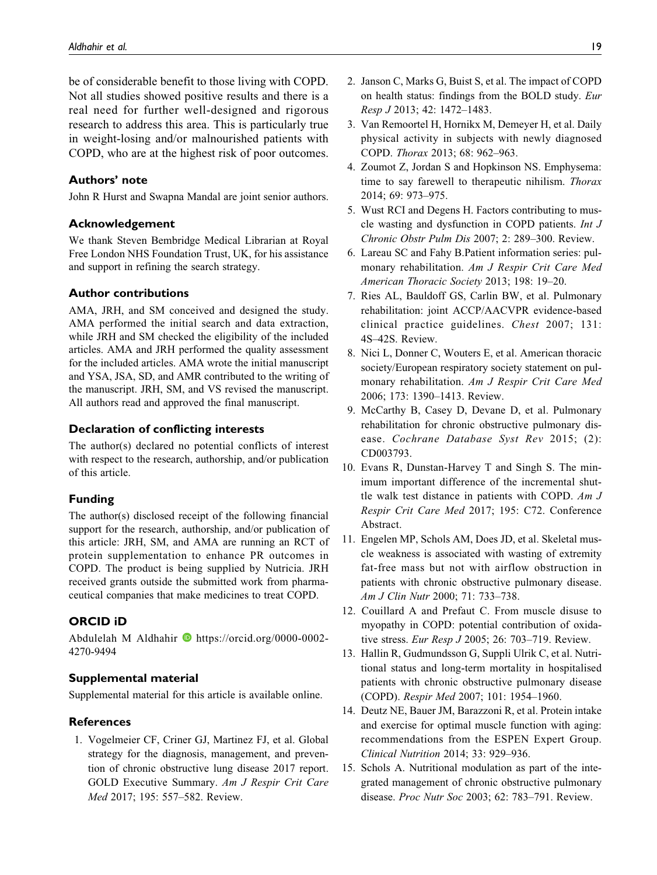be of considerable benefit to those living with COPD. Not all studies showed positive results and there is a real need for further well-designed and rigorous research to address this area. This is particularly true in weight-losing and/or malnourished patients with COPD, who are at the highest risk of poor outcomes.

#### Authors' note

John R Hurst and Swapna Mandal are joint senior authors.

#### Acknowledgement

We thank Steven Bembridge Medical Librarian at Royal Free London NHS Foundation Trust, UK, for his assistance and support in refining the search strategy.

#### Author contributions

AMA, JRH, and SM conceived and designed the study. AMA performed the initial search and data extraction, while JRH and SM checked the eligibility of the included articles. AMA and JRH performed the quality assessment for the included articles. AMA wrote the initial manuscript and YSA, JSA, SD, and AMR contributed to the writing of the manuscript. JRH, SM, and VS revised the manuscript. All authors read and approved the final manuscript.

#### Declaration of conflicting interests

The author(s) declared no potential conflicts of interest with respect to the research, authorship, and/or publication of this article.

#### Funding

The author(s) disclosed receipt of the following financial support for the research, authorship, and/or publication of this article: JRH, SM, and AMA are running an RCT of protein supplementation to enhance PR outcomes in COPD. The product is being supplied by Nutricia. JRH received grants outside the submitted work from pharmaceutical companies that make medicines to treat COPD.

### ORCID iD

Abdulelah M Aldhahir [https://orcid.org/0000-0002-](https://orcid.org/0000-0002-4270-9494) [4270-9494](https://orcid.org/0000-0002-4270-9494)

#### Supplemental material

Supplemental material for this article is available online.

### **References**

1. Vogelmeier CF, Criner GJ, Martinez FJ, et al. Global strategy for the diagnosis, management, and prevention of chronic obstructive lung disease 2017 report. GOLD Executive Summary. Am J Respir Crit Care Med 2017; 195: 557–582. Review.

- 2. Janson C, Marks G, Buist S, et al. The impact of COPD on health status: findings from the BOLD study. Eur Resp J 2013; 42: 1472–1483.
- 3. Van Remoortel H, Hornikx M, Demeyer H, et al. Daily physical activity in subjects with newly diagnosed COPD. Thorax 2013; 68: 962–963.
- 4. Zoumot Z, Jordan S and Hopkinson NS. Emphysema: time to say farewell to therapeutic nihilism. *Thorax* 2014; 69: 973–975.
- 5. Wust RCI and Degens H. Factors contributing to muscle wasting and dysfunction in COPD patients. Int J Chronic Obstr Pulm Dis 2007; 2: 289–300. Review.
- 6. Lareau SC and Fahy B.Patient information series: pulmonary rehabilitation. Am J Respir Crit Care Med American Thoracic Society 2013; 198: 19–20.
- 7. Ries AL, Bauldoff GS, Carlin BW, et al. Pulmonary rehabilitation: joint ACCP/AACVPR evidence-based clinical practice guidelines. Chest 2007; 131: 4S–42S. Review.
- 8. Nici L, Donner C, Wouters E, et al. American thoracic society/European respiratory society statement on pulmonary rehabilitation. Am J Respir Crit Care Med 2006; 173: 1390–1413. Review.
- 9. McCarthy B, Casey D, Devane D, et al. Pulmonary rehabilitation for chronic obstructive pulmonary disease. Cochrane Database Syst Rev 2015; (2): CD003793.
- 10. Evans R, Dunstan-Harvey T and Singh S. The minimum important difference of the incremental shuttle walk test distance in patients with COPD.  $AmJ$ Respir Crit Care Med 2017; 195: C72. Conference Abstract.
- 11. Engelen MP, Schols AM, Does JD, et al. Skeletal muscle weakness is associated with wasting of extremity fat-free mass but not with airflow obstruction in patients with chronic obstructive pulmonary disease. Am J Clin Nutr 2000; 71: 733–738.
- 12. Couillard A and Prefaut C. From muscle disuse to myopathy in COPD: potential contribution of oxidative stress. Eur Resp J 2005; 26: 703–719. Review.
- 13. Hallin R, Gudmundsson G, Suppli Ulrik C, et al. Nutritional status and long-term mortality in hospitalised patients with chronic obstructive pulmonary disease (COPD). Respir Med 2007; 101: 1954–1960.
- 14. Deutz NE, Bauer JM, Barazzoni R, et al. Protein intake and exercise for optimal muscle function with aging: recommendations from the ESPEN Expert Group. Clinical Nutrition 2014; 33: 929–936.
- 15. Schols A. Nutritional modulation as part of the integrated management of chronic obstructive pulmonary disease. Proc Nutr Soc 2003; 62: 783–791. Review.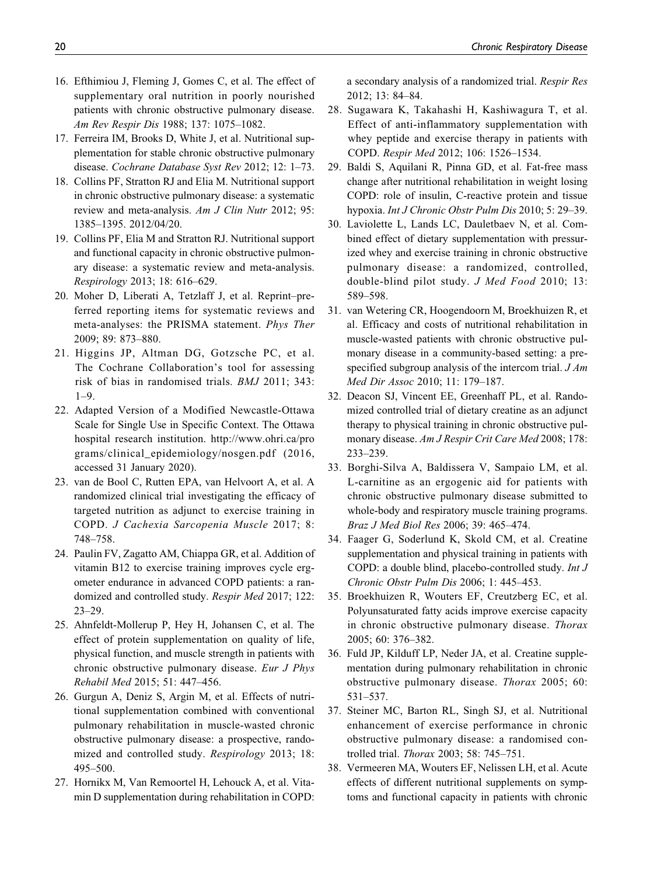- 16. Efthimiou J, Fleming J, Gomes C, et al. The effect of supplementary oral nutrition in poorly nourished patients with chronic obstructive pulmonary disease. Am Rev Respir Dis 1988; 137: 1075–1082.
- 17. Ferreira IM, Brooks D, White J, et al. Nutritional supplementation for stable chronic obstructive pulmonary disease. Cochrane Database Syst Rev 2012; 12: 1–73.
- 18. Collins PF, Stratton RJ and Elia M. Nutritional support in chronic obstructive pulmonary disease: a systematic review and meta-analysis. Am J Clin Nutr 2012; 95: 1385–1395. 2012/04/20.
- 19. Collins PF, Elia M and Stratton RJ. Nutritional support and functional capacity in chronic obstructive pulmonary disease: a systematic review and meta-analysis. Respirology 2013; 18: 616–629.
- 20. Moher D, Liberati A, Tetzlaff J, et al. Reprint–preferred reporting items for systematic reviews and meta-analyses: the PRISMA statement. Phys Ther 2009; 89: 873–880.
- 21. Higgins JP, Altman DG, Gotzsche PC, et al. The Cochrane Collaboration's tool for assessing risk of bias in randomised trials. BMJ 2011; 343: 1–9.
- 22. Adapted Version of a Modified Newcastle-Ottawa Scale for Single Use in Specific Context. The Ottawa hospital research institution. [http://www.ohri.ca/pro](http://www.ohri.ca/programs/clinical_epidemiology/nosgen.pdf) [grams/clinical\\_epidemiology/nosgen.pdf](http://www.ohri.ca/programs/clinical_epidemiology/nosgen.pdf) (2016, accessed 31 January 2020).
- 23. van de Bool C, Rutten EPA, van Helvoort A, et al. A randomized clinical trial investigating the efficacy of targeted nutrition as adjunct to exercise training in COPD. J Cachexia Sarcopenia Muscle 2017; 8: 748–758.
- 24. Paulin FV, Zagatto AM, Chiappa GR, et al. Addition of vitamin B12 to exercise training improves cycle ergometer endurance in advanced COPD patients: a randomized and controlled study. Respir Med 2017; 122: 23–29.
- 25. Ahnfeldt-Mollerup P, Hey H, Johansen C, et al. The effect of protein supplementation on quality of life, physical function, and muscle strength in patients with chronic obstructive pulmonary disease. Eur J Phys Rehabil Med 2015; 51: 447–456.
- 26. Gurgun A, Deniz S, Argin M, et al. Effects of nutritional supplementation combined with conventional pulmonary rehabilitation in muscle-wasted chronic obstructive pulmonary disease: a prospective, randomized and controlled study. Respirology 2013; 18: 495–500.
- 27. Hornikx M, Van Remoortel H, Lehouck A, et al. Vitamin D supplementation during rehabilitation in COPD:

a secondary analysis of a randomized trial. Respir Res 2012; 13: 84–84.

- 28. Sugawara K, Takahashi H, Kashiwagura T, et al. Effect of anti-inflammatory supplementation with whey peptide and exercise therapy in patients with COPD. Respir Med 2012; 106: 1526–1534.
- 29. Baldi S, Aquilani R, Pinna GD, et al. Fat-free mass change after nutritional rehabilitation in weight losing COPD: role of insulin, C-reactive protein and tissue hypoxia. Int J Chronic Obstr Pulm Dis 2010; 5: 29–39.
- 30. Laviolette L, Lands LC, Dauletbaev N, et al. Combined effect of dietary supplementation with pressurized whey and exercise training in chronic obstructive pulmonary disease: a randomized, controlled, double-blind pilot study. J Med Food 2010; 13: 589–598.
- 31. van Wetering CR, Hoogendoorn M, Broekhuizen R, et al. Efficacy and costs of nutritional rehabilitation in muscle-wasted patients with chronic obstructive pulmonary disease in a community-based setting: a prespecified subgroup analysis of the intercom trial.  $JAm$ Med Dir Assoc 2010; 11: 179–187.
- 32. Deacon SJ, Vincent EE, Greenhaff PL, et al. Randomized controlled trial of dietary creatine as an adjunct therapy to physical training in chronic obstructive pulmonary disease. Am J Respir Crit Care Med 2008; 178: 233–239.
- 33. Borghi-Silva A, Baldissera V, Sampaio LM, et al. L-carnitine as an ergogenic aid for patients with chronic obstructive pulmonary disease submitted to whole-body and respiratory muscle training programs. Braz J Med Biol Res 2006; 39: 465–474.
- 34. Faager G, Soderlund K, Skold CM, et al. Creatine supplementation and physical training in patients with COPD: a double blind, placebo-controlled study. Int J Chronic Obstr Pulm Dis 2006; 1: 445–453.
- 35. Broekhuizen R, Wouters EF, Creutzberg EC, et al. Polyunsaturated fatty acids improve exercise capacity in chronic obstructive pulmonary disease. Thorax 2005; 60: 376–382.
- 36. Fuld JP, Kilduff LP, Neder JA, et al. Creatine supplementation during pulmonary rehabilitation in chronic obstructive pulmonary disease. Thorax 2005; 60: 531–537.
- 37. Steiner MC, Barton RL, Singh SJ, et al. Nutritional enhancement of exercise performance in chronic obstructive pulmonary disease: a randomised controlled trial. Thorax 2003; 58: 745–751.
- 38. Vermeeren MA, Wouters EF, Nelissen LH, et al. Acute effects of different nutritional supplements on symptoms and functional capacity in patients with chronic